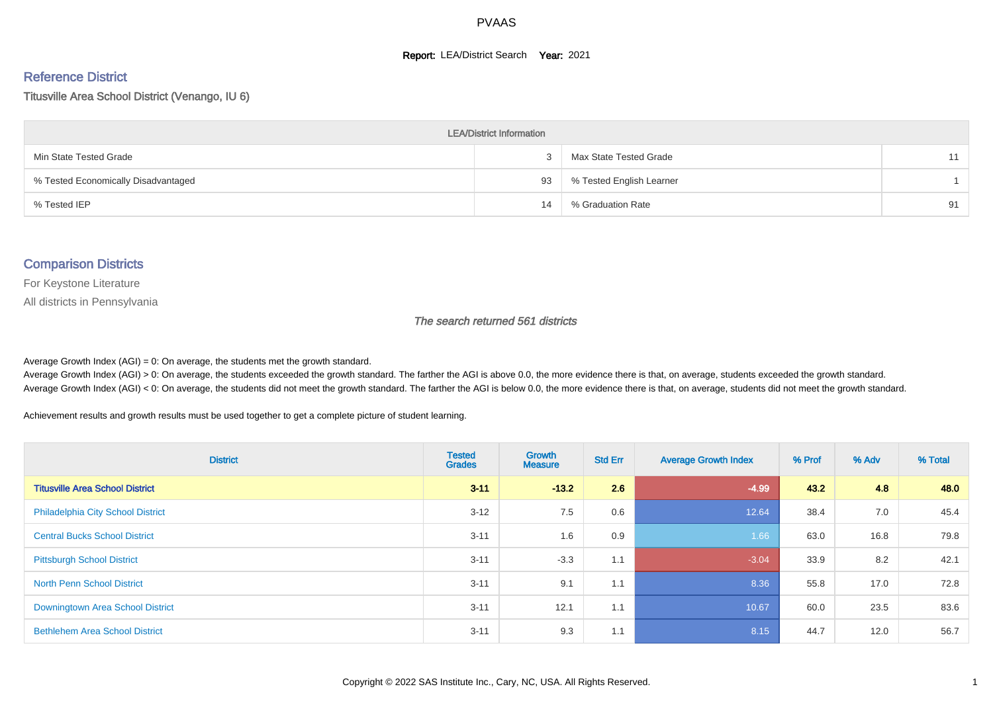#### **Report: LEA/District Search Year: 2021**

#### Reference District

Titusville Area School District (Venango, IU 6)

| <b>LEA/District Information</b>     |    |                          |    |  |  |  |  |  |  |  |
|-------------------------------------|----|--------------------------|----|--|--|--|--|--|--|--|
| Min State Tested Grade              |    | Max State Tested Grade   | 11 |  |  |  |  |  |  |  |
| % Tested Economically Disadvantaged | 93 | % Tested English Learner |    |  |  |  |  |  |  |  |
| % Tested IEP                        | 14 | % Graduation Rate        | 91 |  |  |  |  |  |  |  |

#### Comparison Districts

For Keystone Literature

All districts in Pennsylvania

The search returned 561 districts

Average Growth Index  $(AGI) = 0$ : On average, the students met the growth standard.

Average Growth Index (AGI) > 0: On average, the students exceeded the growth standard. The farther the AGI is above 0.0, the more evidence there is that, on average, students exceeded the growth standard. Average Growth Index (AGI) < 0: On average, the students did not meet the growth standard. The farther the AGI is below 0.0, the more evidence there is that, on average, students did not meet the growth standard.

Achievement results and growth results must be used together to get a complete picture of student learning.

| <b>District</b>                          | <b>Tested</b><br><b>Grades</b> | <b>Growth</b><br><b>Measure</b> | <b>Std Err</b> | <b>Average Growth Index</b> | % Prof | % Adv | % Total |
|------------------------------------------|--------------------------------|---------------------------------|----------------|-----------------------------|--------|-------|---------|
| <b>Titusville Area School District</b>   | $3 - 11$                       | $-13.2$                         | 2.6            | $-4.99$                     | 43.2   | 4.8   | 48.0    |
| <b>Philadelphia City School District</b> | $3 - 12$                       | 7.5                             | 0.6            | 12.64                       | 38.4   | 7.0   | 45.4    |
| <b>Central Bucks School District</b>     | $3 - 11$                       | 1.6                             | 0.9            | 1.66                        | 63.0   | 16.8  | 79.8    |
| <b>Pittsburgh School District</b>        | $3 - 11$                       | $-3.3$                          | 1.1            | $-3.04$                     | 33.9   | 8.2   | 42.1    |
| <b>North Penn School District</b>        | $3 - 11$                       | 9.1                             | 1.1            | 8.36                        | 55.8   | 17.0  | 72.8    |
| Downingtown Area School District         | $3 - 11$                       | 12.1                            | 1.1            | 10.67                       | 60.0   | 23.5  | 83.6    |
| <b>Bethlehem Area School District</b>    | $3 - 11$                       | 9.3                             | 1.1            | 8.15                        | 44.7   | 12.0  | 56.7    |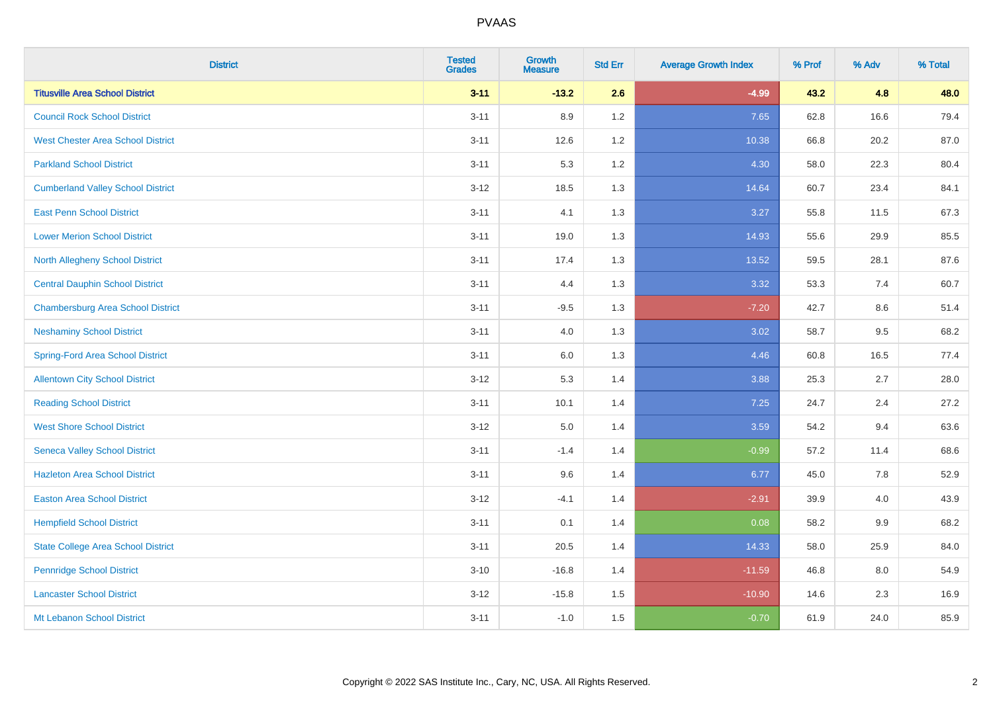| <b>District</b>                           | <b>Tested</b><br><b>Grades</b> | <b>Growth</b><br><b>Measure</b> | <b>Std Err</b> | <b>Average Growth Index</b> | % Prof | % Adv | % Total |
|-------------------------------------------|--------------------------------|---------------------------------|----------------|-----------------------------|--------|-------|---------|
| <b>Titusville Area School District</b>    | $3 - 11$                       | $-13.2$                         | 2.6            | $-4.99$                     | 43.2   | 4.8   | 48.0    |
| <b>Council Rock School District</b>       | $3 - 11$                       | 8.9                             | 1.2            | 7.65                        | 62.8   | 16.6  | 79.4    |
| <b>West Chester Area School District</b>  | $3 - 11$                       | 12.6                            | 1.2            | 10.38                       | 66.8   | 20.2  | 87.0    |
| <b>Parkland School District</b>           | $3 - 11$                       | 5.3                             | 1.2            | 4.30                        | 58.0   | 22.3  | 80.4    |
| <b>Cumberland Valley School District</b>  | $3 - 12$                       | 18.5                            | 1.3            | 14.64                       | 60.7   | 23.4  | 84.1    |
| <b>East Penn School District</b>          | $3 - 11$                       | 4.1                             | 1.3            | 3.27                        | 55.8   | 11.5  | 67.3    |
| <b>Lower Merion School District</b>       | $3 - 11$                       | 19.0                            | 1.3            | 14.93                       | 55.6   | 29.9  | 85.5    |
| <b>North Allegheny School District</b>    | $3 - 11$                       | 17.4                            | 1.3            | 13.52                       | 59.5   | 28.1  | 87.6    |
| <b>Central Dauphin School District</b>    | $3 - 11$                       | 4.4                             | 1.3            | 3.32                        | 53.3   | 7.4   | 60.7    |
| <b>Chambersburg Area School District</b>  | $3 - 11$                       | $-9.5$                          | 1.3            | $-7.20$                     | 42.7   | 8.6   | 51.4    |
| <b>Neshaminy School District</b>          | $3 - 11$                       | 4.0                             | 1.3            | 3.02                        | 58.7   | 9.5   | 68.2    |
| <b>Spring-Ford Area School District</b>   | $3 - 11$                       | $6.0\,$                         | 1.3            | 4.46                        | 60.8   | 16.5  | 77.4    |
| <b>Allentown City School District</b>     | $3 - 12$                       | 5.3                             | 1.4            | 3.88                        | 25.3   | 2.7   | 28.0    |
| <b>Reading School District</b>            | $3 - 11$                       | 10.1                            | 1.4            | 7.25                        | 24.7   | 2.4   | 27.2    |
| <b>West Shore School District</b>         | $3 - 12$                       | $5.0\,$                         | 1.4            | 3.59                        | 54.2   | 9.4   | 63.6    |
| <b>Seneca Valley School District</b>      | $3 - 11$                       | $-1.4$                          | 1.4            | $-0.99$                     | 57.2   | 11.4  | 68.6    |
| <b>Hazleton Area School District</b>      | $3 - 11$                       | 9.6                             | 1.4            | 6.77                        | 45.0   | 7.8   | 52.9    |
| <b>Easton Area School District</b>        | $3 - 12$                       | $-4.1$                          | 1.4            | $-2.91$                     | 39.9   | 4.0   | 43.9    |
| <b>Hempfield School District</b>          | $3 - 11$                       | 0.1                             | 1.4            | 0.08                        | 58.2   | 9.9   | 68.2    |
| <b>State College Area School District</b> | $3 - 11$                       | 20.5                            | 1.4            | 14.33                       | 58.0   | 25.9  | 84.0    |
| <b>Pennridge School District</b>          | $3 - 10$                       | $-16.8$                         | 1.4            | $-11.59$                    | 46.8   | 8.0   | 54.9    |
| <b>Lancaster School District</b>          | $3 - 12$                       | $-15.8$                         | 1.5            | $-10.90$                    | 14.6   | 2.3   | 16.9    |
| Mt Lebanon School District                | $3 - 11$                       | $-1.0$                          | 1.5            | $-0.70$                     | 61.9   | 24.0  | 85.9    |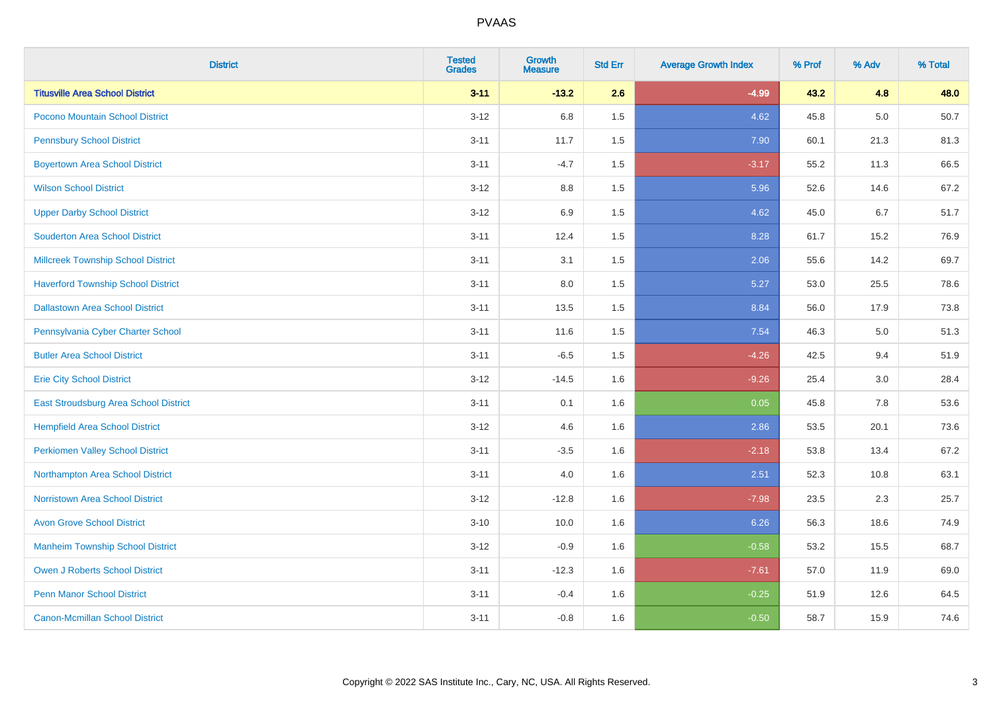| <b>District</b>                           | <b>Tested</b><br><b>Grades</b> | <b>Growth</b><br><b>Measure</b> | <b>Std Err</b> | <b>Average Growth Index</b> | % Prof | % Adv | % Total |
|-------------------------------------------|--------------------------------|---------------------------------|----------------|-----------------------------|--------|-------|---------|
| <b>Titusville Area School District</b>    | $3 - 11$                       | $-13.2$                         | 2.6            | $-4.99$                     | 43.2   | 4.8   | 48.0    |
| Pocono Mountain School District           | $3 - 12$                       | 6.8                             | 1.5            | 4.62                        | 45.8   | 5.0   | 50.7    |
| <b>Pennsbury School District</b>          | $3 - 11$                       | 11.7                            | 1.5            | 7.90                        | 60.1   | 21.3  | 81.3    |
| <b>Boyertown Area School District</b>     | $3 - 11$                       | $-4.7$                          | 1.5            | $-3.17$                     | 55.2   | 11.3  | 66.5    |
| <b>Wilson School District</b>             | $3 - 12$                       | 8.8                             | 1.5            | 5.96                        | 52.6   | 14.6  | 67.2    |
| <b>Upper Darby School District</b>        | $3 - 12$                       | 6.9                             | 1.5            | 4.62                        | 45.0   | 6.7   | 51.7    |
| <b>Souderton Area School District</b>     | $3 - 11$                       | 12.4                            | 1.5            | 8.28                        | 61.7   | 15.2  | 76.9    |
| <b>Millcreek Township School District</b> | $3 - 11$                       | 3.1                             | 1.5            | 2.06                        | 55.6   | 14.2  | 69.7    |
| <b>Haverford Township School District</b> | $3 - 11$                       | 8.0                             | 1.5            | 5.27                        | 53.0   | 25.5  | 78.6    |
| <b>Dallastown Area School District</b>    | $3 - 11$                       | 13.5                            | 1.5            | 8.84                        | 56.0   | 17.9  | 73.8    |
| Pennsylvania Cyber Charter School         | $3 - 11$                       | 11.6                            | 1.5            | 7.54                        | 46.3   | 5.0   | 51.3    |
| <b>Butler Area School District</b>        | $3 - 11$                       | $-6.5$                          | 1.5            | $-4.26$                     | 42.5   | 9.4   | 51.9    |
| <b>Erie City School District</b>          | $3 - 12$                       | $-14.5$                         | 1.6            | $-9.26$                     | 25.4   | 3.0   | 28.4    |
| East Stroudsburg Area School District     | $3 - 11$                       | 0.1                             | 1.6            | 0.05                        | 45.8   | 7.8   | 53.6    |
| <b>Hempfield Area School District</b>     | $3 - 12$                       | 4.6                             | 1.6            | 2.86                        | 53.5   | 20.1  | 73.6    |
| <b>Perkiomen Valley School District</b>   | $3 - 11$                       | $-3.5$                          | 1.6            | $-2.18$                     | 53.8   | 13.4  | 67.2    |
| Northampton Area School District          | $3 - 11$                       | 4.0                             | 1.6            | 2.51                        | 52.3   | 10.8  | 63.1    |
| <b>Norristown Area School District</b>    | $3 - 12$                       | $-12.8$                         | 1.6            | $-7.98$                     | 23.5   | 2.3   | 25.7    |
| <b>Avon Grove School District</b>         | $3 - 10$                       | 10.0                            | 1.6            | 6.26                        | 56.3   | 18.6  | 74.9    |
| <b>Manheim Township School District</b>   | $3 - 12$                       | $-0.9$                          | 1.6            | $-0.58$                     | 53.2   | 15.5  | 68.7    |
| <b>Owen J Roberts School District</b>     | $3 - 11$                       | $-12.3$                         | 1.6            | $-7.61$                     | 57.0   | 11.9  | 69.0    |
| <b>Penn Manor School District</b>         | $3 - 11$                       | $-0.4$                          | 1.6            | $-0.25$                     | 51.9   | 12.6  | 64.5    |
| <b>Canon-Mcmillan School District</b>     | $3 - 11$                       | $-0.8$                          | 1.6            | $-0.50$                     | 58.7   | 15.9  | 74.6    |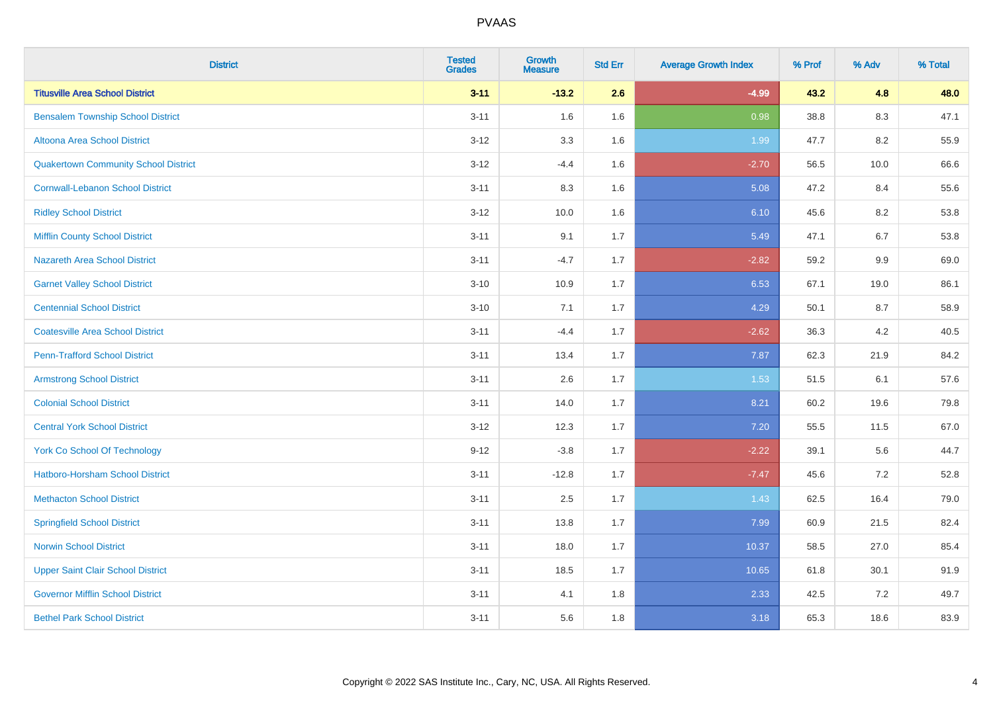| <b>District</b>                             | <b>Tested</b><br><b>Grades</b> | <b>Growth</b><br><b>Measure</b> | <b>Std Err</b> | <b>Average Growth Index</b> | % Prof | % Adv   | % Total |
|---------------------------------------------|--------------------------------|---------------------------------|----------------|-----------------------------|--------|---------|---------|
| <b>Titusville Area School District</b>      | $3 - 11$                       | $-13.2$                         | 2.6            | $-4.99$                     | 43.2   | 4.8     | 48.0    |
| <b>Bensalem Township School District</b>    | $3 - 11$                       | 1.6                             | 1.6            | 0.98                        | 38.8   | $8.3\,$ | 47.1    |
| Altoona Area School District                | $3 - 12$                       | 3.3                             | 1.6            | 1.99                        | 47.7   | 8.2     | 55.9    |
| <b>Quakertown Community School District</b> | $3 - 12$                       | $-4.4$                          | 1.6            | $-2.70$                     | 56.5   | 10.0    | 66.6    |
| <b>Cornwall-Lebanon School District</b>     | $3 - 11$                       | 8.3                             | 1.6            | 5.08                        | 47.2   | 8.4     | 55.6    |
| <b>Ridley School District</b>               | $3 - 12$                       | 10.0                            | 1.6            | 6.10                        | 45.6   | 8.2     | 53.8    |
| <b>Mifflin County School District</b>       | $3 - 11$                       | 9.1                             | 1.7            | 5.49                        | 47.1   | 6.7     | 53.8    |
| <b>Nazareth Area School District</b>        | $3 - 11$                       | $-4.7$                          | 1.7            | $-2.82$                     | 59.2   | 9.9     | 69.0    |
| <b>Garnet Valley School District</b>        | $3 - 10$                       | 10.9                            | 1.7            | 6.53                        | 67.1   | 19.0    | 86.1    |
| <b>Centennial School District</b>           | $3 - 10$                       | 7.1                             | 1.7            | 4.29                        | 50.1   | 8.7     | 58.9    |
| <b>Coatesville Area School District</b>     | $3 - 11$                       | $-4.4$                          | 1.7            | $-2.62$                     | 36.3   | 4.2     | 40.5    |
| <b>Penn-Trafford School District</b>        | $3 - 11$                       | 13.4                            | 1.7            | 7.87                        | 62.3   | 21.9    | 84.2    |
| <b>Armstrong School District</b>            | $3 - 11$                       | 2.6                             | 1.7            | 1.53                        | 51.5   | 6.1     | 57.6    |
| <b>Colonial School District</b>             | $3 - 11$                       | 14.0                            | 1.7            | 8.21                        | 60.2   | 19.6    | 79.8    |
| <b>Central York School District</b>         | $3 - 12$                       | 12.3                            | 1.7            | 7.20                        | 55.5   | 11.5    | 67.0    |
| <b>York Co School Of Technology</b>         | $9 - 12$                       | $-3.8$                          | 1.7            | $-2.22$                     | 39.1   | 5.6     | 44.7    |
| <b>Hatboro-Horsham School District</b>      | $3 - 11$                       | $-12.8$                         | 1.7            | $-7.47$                     | 45.6   | 7.2     | 52.8    |
| <b>Methacton School District</b>            | $3 - 11$                       | 2.5                             | 1.7            | 1.43                        | 62.5   | 16.4    | 79.0    |
| <b>Springfield School District</b>          | $3 - 11$                       | 13.8                            | 1.7            | 7.99                        | 60.9   | 21.5    | 82.4    |
| <b>Norwin School District</b>               | $3 - 11$                       | 18.0                            | 1.7            | 10.37                       | 58.5   | 27.0    | 85.4    |
| <b>Upper Saint Clair School District</b>    | $3 - 11$                       | 18.5                            | 1.7            | 10.65                       | 61.8   | 30.1    | 91.9    |
| <b>Governor Mifflin School District</b>     | $3 - 11$                       | 4.1                             | 1.8            | 2.33                        | 42.5   | 7.2     | 49.7    |
| <b>Bethel Park School District</b>          | $3 - 11$                       | 5.6                             | 1.8            | 3.18                        | 65.3   | 18.6    | 83.9    |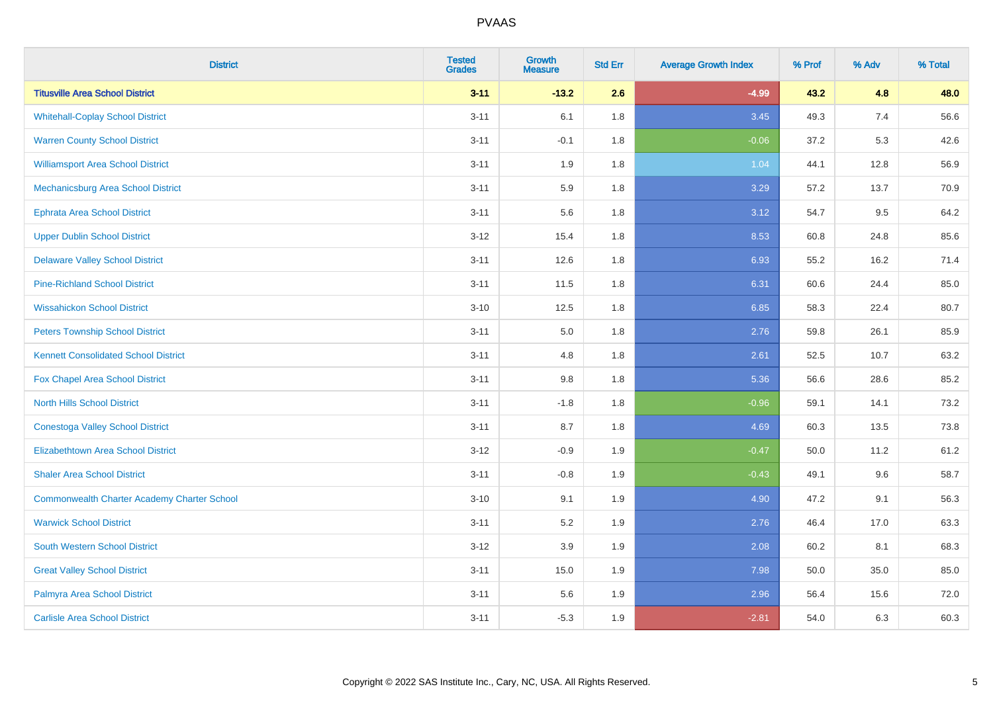| <b>District</b>                                    | <b>Tested</b><br><b>Grades</b> | Growth<br><b>Measure</b> | <b>Std Err</b> | <b>Average Growth Index</b> | % Prof | % Adv | % Total |
|----------------------------------------------------|--------------------------------|--------------------------|----------------|-----------------------------|--------|-------|---------|
| <b>Titusville Area School District</b>             | $3 - 11$                       | $-13.2$                  | 2.6            | $-4.99$                     | 43.2   | 4.8   | 48.0    |
| <b>Whitehall-Coplay School District</b>            | $3 - 11$                       | 6.1                      | 1.8            | 3.45                        | 49.3   | 7.4   | 56.6    |
| <b>Warren County School District</b>               | $3 - 11$                       | $-0.1$                   | 1.8            | $-0.06$                     | 37.2   | 5.3   | 42.6    |
| <b>Williamsport Area School District</b>           | $3 - 11$                       | 1.9                      | 1.8            | 1.04                        | 44.1   | 12.8  | 56.9    |
| Mechanicsburg Area School District                 | $3 - 11$                       | 5.9                      | 1.8            | 3.29                        | 57.2   | 13.7  | 70.9    |
| <b>Ephrata Area School District</b>                | $3 - 11$                       | 5.6                      | 1.8            | 3.12                        | 54.7   | 9.5   | 64.2    |
| <b>Upper Dublin School District</b>                | $3 - 12$                       | 15.4                     | 1.8            | 8.53                        | 60.8   | 24.8  | 85.6    |
| <b>Delaware Valley School District</b>             | $3 - 11$                       | 12.6                     | 1.8            | 6.93                        | 55.2   | 16.2  | 71.4    |
| <b>Pine-Richland School District</b>               | $3 - 11$                       | 11.5                     | 1.8            | 6.31                        | 60.6   | 24.4  | 85.0    |
| <b>Wissahickon School District</b>                 | $3 - 10$                       | 12.5                     | 1.8            | 6.85                        | 58.3   | 22.4  | 80.7    |
| <b>Peters Township School District</b>             | $3 - 11$                       | 5.0                      | 1.8            | 2.76                        | 59.8   | 26.1  | 85.9    |
| <b>Kennett Consolidated School District</b>        | $3 - 11$                       | 4.8                      | 1.8            | 2.61                        | 52.5   | 10.7  | 63.2    |
| Fox Chapel Area School District                    | $3 - 11$                       | 9.8                      | 1.8            | 5.36                        | 56.6   | 28.6  | 85.2    |
| <b>North Hills School District</b>                 | $3 - 11$                       | $-1.8$                   | 1.8            | $-0.96$                     | 59.1   | 14.1  | 73.2    |
| <b>Conestoga Valley School District</b>            | $3 - 11$                       | 8.7                      | 1.8            | 4.69                        | 60.3   | 13.5  | 73.8    |
| <b>Elizabethtown Area School District</b>          | $3 - 12$                       | $-0.9$                   | 1.9            | $-0.47$                     | 50.0   | 11.2  | 61.2    |
| <b>Shaler Area School District</b>                 | $3 - 11$                       | $-0.8$                   | 1.9            | $-0.43$                     | 49.1   | 9.6   | 58.7    |
| <b>Commonwealth Charter Academy Charter School</b> | $3 - 10$                       | 9.1                      | 1.9            | 4.90                        | 47.2   | 9.1   | 56.3    |
| <b>Warwick School District</b>                     | $3 - 11$                       | 5.2                      | 1.9            | 2.76                        | 46.4   | 17.0  | 63.3    |
| <b>South Western School District</b>               | $3-12$                         | 3.9                      | 1.9            | 2.08                        | 60.2   | 8.1   | 68.3    |
| <b>Great Valley School District</b>                | $3 - 11$                       | 15.0                     | 1.9            | 7.98                        | 50.0   | 35.0  | 85.0    |
| Palmyra Area School District                       | $3 - 11$                       | 5.6                      | 1.9            | 2.96                        | 56.4   | 15.6  | 72.0    |
| <b>Carlisle Area School District</b>               | $3 - 11$                       | $-5.3$                   | 1.9            | $-2.81$                     | 54.0   | 6.3   | 60.3    |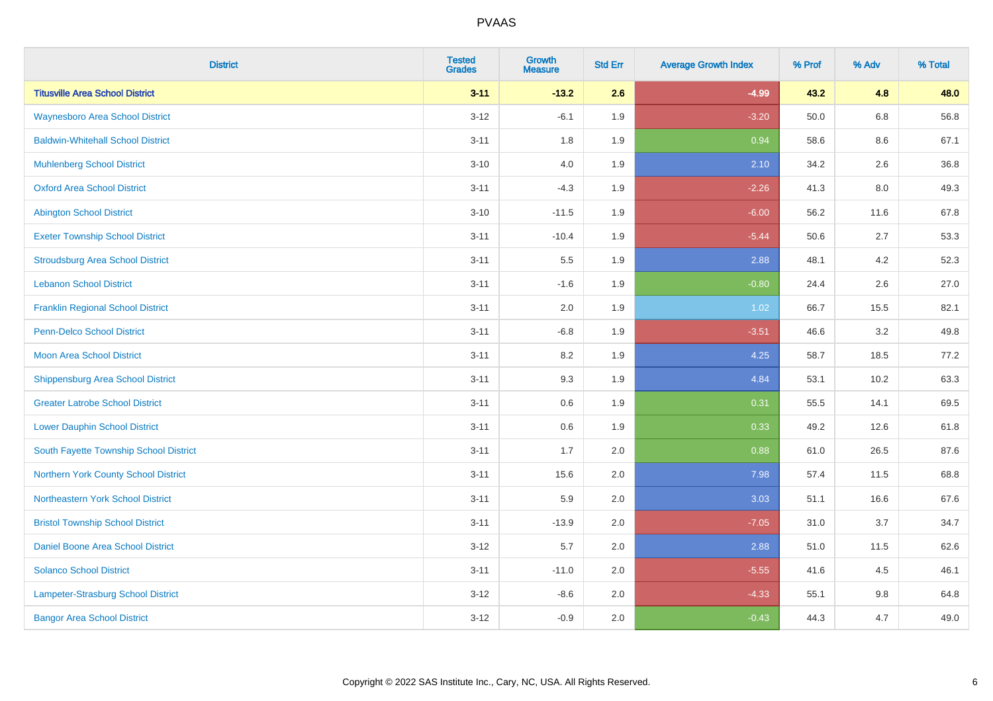| <b>District</b>                           | <b>Tested</b><br><b>Grades</b> | <b>Growth</b><br><b>Measure</b> | <b>Std Err</b> | <b>Average Growth Index</b> | % Prof | % Adv   | % Total |
|-------------------------------------------|--------------------------------|---------------------------------|----------------|-----------------------------|--------|---------|---------|
| <b>Titusville Area School District</b>    | $3 - 11$                       | $-13.2$                         | 2.6            | $-4.99$                     | 43.2   | 4.8     | 48.0    |
| <b>Waynesboro Area School District</b>    | $3 - 12$                       | $-6.1$                          | 1.9            | $-3.20$                     | 50.0   | $6.8\,$ | 56.8    |
| <b>Baldwin-Whitehall School District</b>  | $3 - 11$                       | 1.8                             | 1.9            | 0.94                        | 58.6   | 8.6     | 67.1    |
| <b>Muhlenberg School District</b>         | $3 - 10$                       | 4.0                             | 1.9            | 2.10                        | 34.2   | 2.6     | 36.8    |
| <b>Oxford Area School District</b>        | $3 - 11$                       | $-4.3$                          | 1.9            | $-2.26$                     | 41.3   | 8.0     | 49.3    |
| <b>Abington School District</b>           | $3 - 10$                       | $-11.5$                         | 1.9            | $-6.00$                     | 56.2   | 11.6    | 67.8    |
| <b>Exeter Township School District</b>    | $3 - 11$                       | $-10.4$                         | 1.9            | $-5.44$                     | 50.6   | 2.7     | 53.3    |
| <b>Stroudsburg Area School District</b>   | $3 - 11$                       | $5.5\,$                         | 1.9            | 2.88                        | 48.1   | 4.2     | 52.3    |
| <b>Lebanon School District</b>            | $3 - 11$                       | $-1.6$                          | 1.9            | $-0.80$                     | 24.4   | 2.6     | 27.0    |
| <b>Franklin Regional School District</b>  | $3 - 11$                       | 2.0                             | 1.9            | 1.02                        | 66.7   | 15.5    | 82.1    |
| Penn-Delco School District                | $3 - 11$                       | $-6.8$                          | 1.9            | $-3.51$                     | 46.6   | 3.2     | 49.8    |
| <b>Moon Area School District</b>          | $3 - 11$                       | 8.2                             | 1.9            | 4.25                        | 58.7   | 18.5    | 77.2    |
| <b>Shippensburg Area School District</b>  | $3 - 11$                       | 9.3                             | 1.9            | 4.84                        | 53.1   | 10.2    | 63.3    |
| <b>Greater Latrobe School District</b>    | $3 - 11$                       | 0.6                             | 1.9            | 0.31                        | 55.5   | 14.1    | 69.5    |
| <b>Lower Dauphin School District</b>      | $3 - 11$                       | 0.6                             | 1.9            | 0.33                        | 49.2   | 12.6    | 61.8    |
| South Fayette Township School District    | $3 - 11$                       | 1.7                             | 2.0            | 0.88                        | 61.0   | 26.5    | 87.6    |
| Northern York County School District      | $3 - 11$                       | 15.6                            | 2.0            | 7.98                        | 57.4   | 11.5    | 68.8    |
| Northeastern York School District         | $3 - 11$                       | 5.9                             | 2.0            | 3.03                        | 51.1   | 16.6    | 67.6    |
| <b>Bristol Township School District</b>   | $3 - 11$                       | $-13.9$                         | 2.0            | $-7.05$                     | 31.0   | 3.7     | 34.7    |
| Daniel Boone Area School District         | $3 - 12$                       | 5.7                             | 2.0            | 2.88                        | 51.0   | 11.5    | 62.6    |
| <b>Solanco School District</b>            | $3 - 11$                       | $-11.0$                         | 2.0            | $-5.55$                     | 41.6   | 4.5     | 46.1    |
| <b>Lampeter-Strasburg School District</b> | $3 - 12$                       | $-8.6$                          | 2.0            | $-4.33$                     | 55.1   | 9.8     | 64.8    |
| <b>Bangor Area School District</b>        | $3 - 12$                       | $-0.9$                          | 2.0            | $-0.43$                     | 44.3   | 4.7     | 49.0    |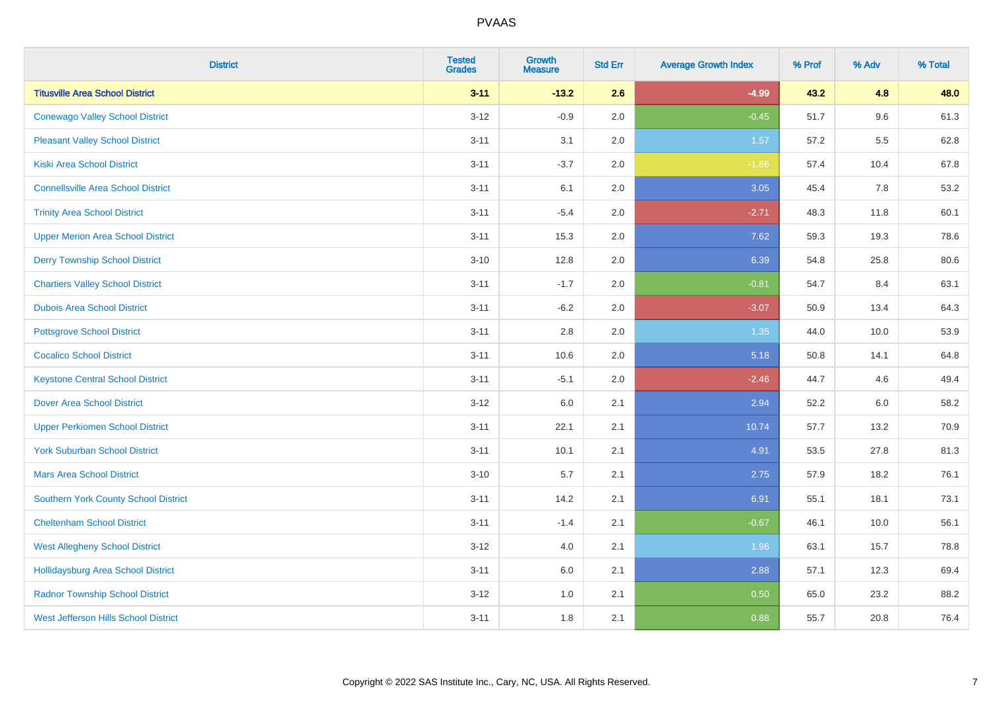| <b>District</b>                             | <b>Tested</b><br><b>Grades</b> | Growth<br><b>Measure</b> | <b>Std Err</b> | <b>Average Growth Index</b> | % Prof | % Adv | % Total |
|---------------------------------------------|--------------------------------|--------------------------|----------------|-----------------------------|--------|-------|---------|
| <b>Titusville Area School District</b>      | $3 - 11$                       | $-13.2$                  | 2.6            | $-4.99$                     | 43.2   | 4.8   | 48.0    |
| <b>Conewago Valley School District</b>      | $3 - 12$                       | $-0.9$                   | 2.0            | $-0.45$                     | 51.7   | 9.6   | 61.3    |
| <b>Pleasant Valley School District</b>      | $3 - 11$                       | 3.1                      | 2.0            | 1.57                        | 57.2   | 5.5   | 62.8    |
| <b>Kiski Area School District</b>           | $3 - 11$                       | $-3.7$                   | 2.0            | $-1.86$                     | 57.4   | 10.4  | 67.8    |
| <b>Connellsville Area School District</b>   | $3 - 11$                       | 6.1                      | 2.0            | 3.05                        | 45.4   | 7.8   | 53.2    |
| <b>Trinity Area School District</b>         | $3 - 11$                       | $-5.4$                   | 2.0            | $-2.71$                     | 48.3   | 11.8  | 60.1    |
| <b>Upper Merion Area School District</b>    | $3 - 11$                       | 15.3                     | 2.0            | 7.62                        | 59.3   | 19.3  | 78.6    |
| <b>Derry Township School District</b>       | $3 - 10$                       | 12.8                     | 2.0            | 6.39                        | 54.8   | 25.8  | 80.6    |
| <b>Chartiers Valley School District</b>     | $3 - 11$                       | $-1.7$                   | 2.0            | $-0.81$                     | 54.7   | 8.4   | 63.1    |
| <b>Dubois Area School District</b>          | $3 - 11$                       | $-6.2$                   | 2.0            | $-3.07$                     | 50.9   | 13.4  | 64.3    |
| <b>Pottsgrove School District</b>           | $3 - 11$                       | 2.8                      | 2.0            | 1.35                        | 44.0   | 10.0  | 53.9    |
| <b>Cocalico School District</b>             | $3 - 11$                       | 10.6                     | 2.0            | 5.18                        | 50.8   | 14.1  | 64.8    |
| <b>Keystone Central School District</b>     | $3 - 11$                       | $-5.1$                   | 2.0            | $-2.46$                     | 44.7   | 4.6   | 49.4    |
| <b>Dover Area School District</b>           | $3-12$                         | 6.0                      | 2.1            | 2.94                        | 52.2   | 6.0   | 58.2    |
| <b>Upper Perkiomen School District</b>      | $3 - 11$                       | 22.1                     | 2.1            | 10.74                       | 57.7   | 13.2  | 70.9    |
| <b>York Suburban School District</b>        | $3 - 11$                       | 10.1                     | 2.1            | 4.91                        | 53.5   | 27.8  | 81.3    |
| <b>Mars Area School District</b>            | $3 - 10$                       | 5.7                      | 2.1            | 2.75                        | 57.9   | 18.2  | 76.1    |
| Southern York County School District        | $3 - 11$                       | 14.2                     | 2.1            | 6.91                        | 55.1   | 18.1  | 73.1    |
| <b>Cheltenham School District</b>           | $3 - 11$                       | $-1.4$                   | 2.1            | $-0.67$                     | 46.1   | 10.0  | 56.1    |
| <b>West Allegheny School District</b>       | $3-12$                         | 4.0                      | 2.1            | 1.96                        | 63.1   | 15.7  | 78.8    |
| <b>Hollidaysburg Area School District</b>   | $3 - 11$                       | 6.0                      | 2.1            | 2.88                        | 57.1   | 12.3  | 69.4    |
| <b>Radnor Township School District</b>      | $3 - 12$                       | 1.0                      | 2.1            | 0.50                        | 65.0   | 23.2  | 88.2    |
| <b>West Jefferson Hills School District</b> | $3 - 11$                       | 1.8                      | 2.1            | 0.88                        | 55.7   | 20.8  | 76.4    |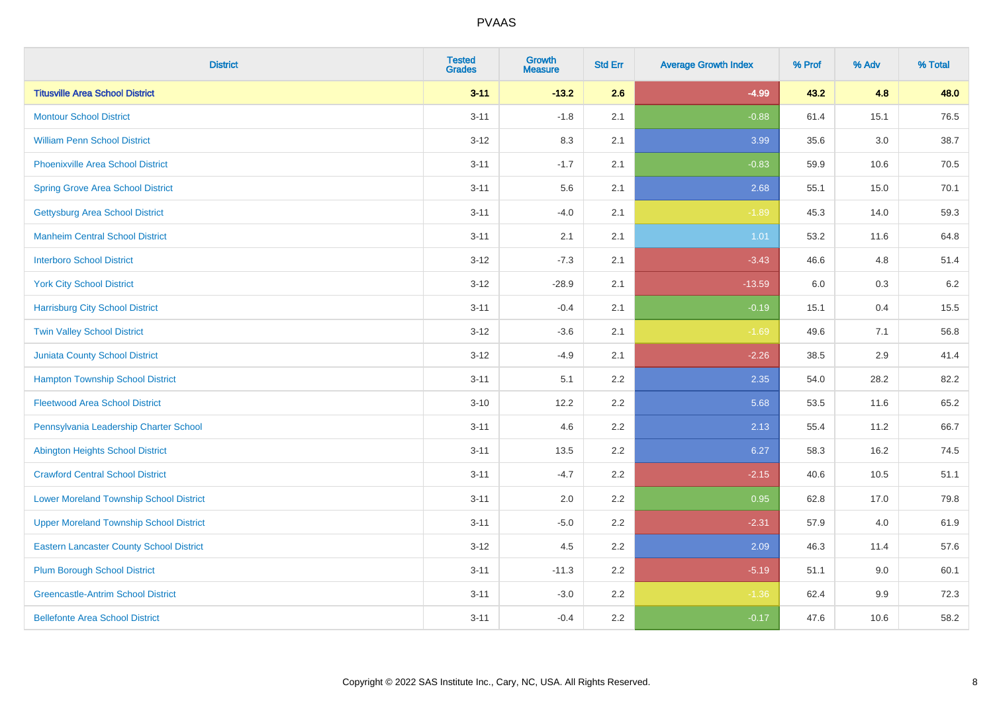| <b>District</b>                                 | <b>Tested</b><br><b>Grades</b> | <b>Growth</b><br><b>Measure</b> | <b>Std Err</b> | <b>Average Growth Index</b> | % Prof | % Adv   | % Total |
|-------------------------------------------------|--------------------------------|---------------------------------|----------------|-----------------------------|--------|---------|---------|
| <b>Titusville Area School District</b>          | $3 - 11$                       | $-13.2$                         | 2.6            | $-4.99$                     | 43.2   | 4.8     | 48.0    |
| <b>Montour School District</b>                  | $3 - 11$                       | $-1.8$                          | 2.1            | $-0.88$                     | 61.4   | 15.1    | 76.5    |
| <b>William Penn School District</b>             | $3 - 12$                       | 8.3                             | 2.1            | 3.99                        | 35.6   | $3.0\,$ | 38.7    |
| Phoenixville Area School District               | $3 - 11$                       | $-1.7$                          | 2.1            | $-0.83$                     | 59.9   | 10.6    | 70.5    |
| <b>Spring Grove Area School District</b>        | $3 - 11$                       | 5.6                             | 2.1            | 2.68                        | 55.1   | 15.0    | 70.1    |
| <b>Gettysburg Area School District</b>          | $3 - 11$                       | $-4.0$                          | 2.1            | $-1.89$                     | 45.3   | 14.0    | 59.3    |
| <b>Manheim Central School District</b>          | $3 - 11$                       | 2.1                             | 2.1            | 1.01                        | 53.2   | 11.6    | 64.8    |
| <b>Interboro School District</b>                | $3 - 12$                       | $-7.3$                          | 2.1            | $-3.43$                     | 46.6   | 4.8     | 51.4    |
| <b>York City School District</b>                | $3 - 12$                       | $-28.9$                         | 2.1            | $-13.59$                    | 6.0    | $0.3\,$ | 6.2     |
| <b>Harrisburg City School District</b>          | $3 - 11$                       | $-0.4$                          | 2.1            | $-0.19$                     | 15.1   | 0.4     | 15.5    |
| <b>Twin Valley School District</b>              | $3-12$                         | $-3.6$                          | 2.1            | $-1.69$                     | 49.6   | 7.1     | 56.8    |
| Juniata County School District                  | $3-12$                         | $-4.9$                          | 2.1            | $-2.26$                     | 38.5   | 2.9     | 41.4    |
| <b>Hampton Township School District</b>         | $3 - 11$                       | 5.1                             | 2.2            | 2.35                        | 54.0   | 28.2    | 82.2    |
| <b>Fleetwood Area School District</b>           | $3 - 10$                       | 12.2                            | 2.2            | 5.68                        | 53.5   | 11.6    | 65.2    |
| Pennsylvania Leadership Charter School          | $3 - 11$                       | 4.6                             | 2.2            | 2.13                        | 55.4   | 11.2    | 66.7    |
| <b>Abington Heights School District</b>         | $3 - 11$                       | 13.5                            | 2.2            | 6.27                        | 58.3   | 16.2    | 74.5    |
| <b>Crawford Central School District</b>         | $3 - 11$                       | $-4.7$                          | 2.2            | $-2.15$                     | 40.6   | 10.5    | 51.1    |
| <b>Lower Moreland Township School District</b>  | $3 - 11$                       | 2.0                             | 2.2            | 0.95                        | 62.8   | 17.0    | 79.8    |
| <b>Upper Moreland Township School District</b>  | $3 - 11$                       | $-5.0$                          | 2.2            | $-2.31$                     | 57.9   | 4.0     | 61.9    |
| <b>Eastern Lancaster County School District</b> | $3 - 12$                       | 4.5                             | 2.2            | 2.09                        | 46.3   | 11.4    | 57.6    |
| <b>Plum Borough School District</b>             | $3 - 11$                       | $-11.3$                         | 2.2            | $-5.19$                     | 51.1   | 9.0     | 60.1    |
| <b>Greencastle-Antrim School District</b>       | $3 - 11$                       | $-3.0$                          | 2.2            | $-1.36$                     | 62.4   | 9.9     | 72.3    |
| <b>Bellefonte Area School District</b>          | $3 - 11$                       | $-0.4$                          | 2.2            | $-0.17$                     | 47.6   | 10.6    | 58.2    |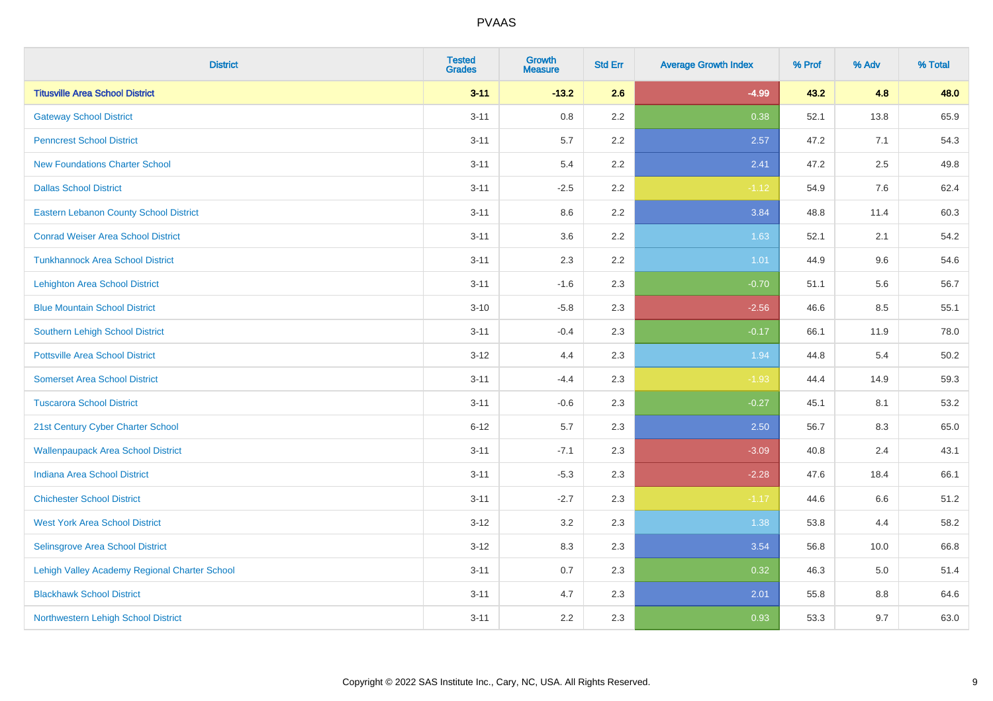| <b>District</b>                               | <b>Tested</b><br><b>Grades</b> | <b>Growth</b><br><b>Measure</b> | <b>Std Err</b> | <b>Average Growth Index</b> | % Prof | % Adv | % Total |
|-----------------------------------------------|--------------------------------|---------------------------------|----------------|-----------------------------|--------|-------|---------|
| <b>Titusville Area School District</b>        | $3 - 11$                       | $-13.2$                         | 2.6            | $-4.99$                     | 43.2   | 4.8   | 48.0    |
| <b>Gateway School District</b>                | $3 - 11$                       | $0.8\,$                         | 2.2            | 0.38                        | 52.1   | 13.8  | 65.9    |
| <b>Penncrest School District</b>              | $3 - 11$                       | 5.7                             | 2.2            | 2.57                        | 47.2   | 7.1   | 54.3    |
| <b>New Foundations Charter School</b>         | $3 - 11$                       | 5.4                             | 2.2            | 2.41                        | 47.2   | 2.5   | 49.8    |
| <b>Dallas School District</b>                 | $3 - 11$                       | $-2.5$                          | 2.2            | $-1.12$                     | 54.9   | 7.6   | 62.4    |
| <b>Eastern Lebanon County School District</b> | $3 - 11$                       | 8.6                             | 2.2            | 3.84                        | 48.8   | 11.4  | 60.3    |
| <b>Conrad Weiser Area School District</b>     | $3 - 11$                       | 3.6                             | 2.2            | 1.63                        | 52.1   | 2.1   | 54.2    |
| <b>Tunkhannock Area School District</b>       | $3 - 11$                       | 2.3                             | 2.2            | 1.01                        | 44.9   | 9.6   | 54.6    |
| <b>Lehighton Area School District</b>         | $3 - 11$                       | $-1.6$                          | 2.3            | $-0.70$                     | 51.1   | 5.6   | 56.7    |
| <b>Blue Mountain School District</b>          | $3 - 10$                       | $-5.8$                          | 2.3            | $-2.56$                     | 46.6   | 8.5   | 55.1    |
| Southern Lehigh School District               | $3 - 11$                       | $-0.4$                          | 2.3            | $-0.17$                     | 66.1   | 11.9  | 78.0    |
| <b>Pottsville Area School District</b>        | $3 - 12$                       | 4.4                             | 2.3            | 1.94                        | 44.8   | 5.4   | 50.2    |
| <b>Somerset Area School District</b>          | $3 - 11$                       | $-4.4$                          | 2.3            | $-1.93$                     | 44.4   | 14.9  | 59.3    |
| <b>Tuscarora School District</b>              | $3 - 11$                       | $-0.6$                          | 2.3            | $-0.27$                     | 45.1   | 8.1   | 53.2    |
| 21st Century Cyber Charter School             | $6 - 12$                       | 5.7                             | 2.3            | 2.50                        | 56.7   | 8.3   | 65.0    |
| <b>Wallenpaupack Area School District</b>     | $3 - 11$                       | $-7.1$                          | 2.3            | $-3.09$                     | 40.8   | 2.4   | 43.1    |
| <b>Indiana Area School District</b>           | $3 - 11$                       | $-5.3$                          | 2.3            | $-2.28$                     | 47.6   | 18.4  | 66.1    |
| <b>Chichester School District</b>             | $3 - 11$                       | $-2.7$                          | 2.3            | $-1.17$                     | 44.6   | 6.6   | 51.2    |
| <b>West York Area School District</b>         | $3 - 12$                       | 3.2                             | 2.3            | 1.38                        | 53.8   | 4.4   | 58.2    |
| Selinsgrove Area School District              | $3 - 12$                       | 8.3                             | 2.3            | 3.54                        | 56.8   | 10.0  | 66.8    |
| Lehigh Valley Academy Regional Charter School | $3 - 11$                       | 0.7                             | 2.3            | 0.32                        | 46.3   | 5.0   | 51.4    |
| <b>Blackhawk School District</b>              | $3 - 11$                       | 4.7                             | 2.3            | 2.01                        | 55.8   | 8.8   | 64.6    |
| Northwestern Lehigh School District           | $3 - 11$                       | 2.2                             | 2.3            | 0.93                        | 53.3   | 9.7   | 63.0    |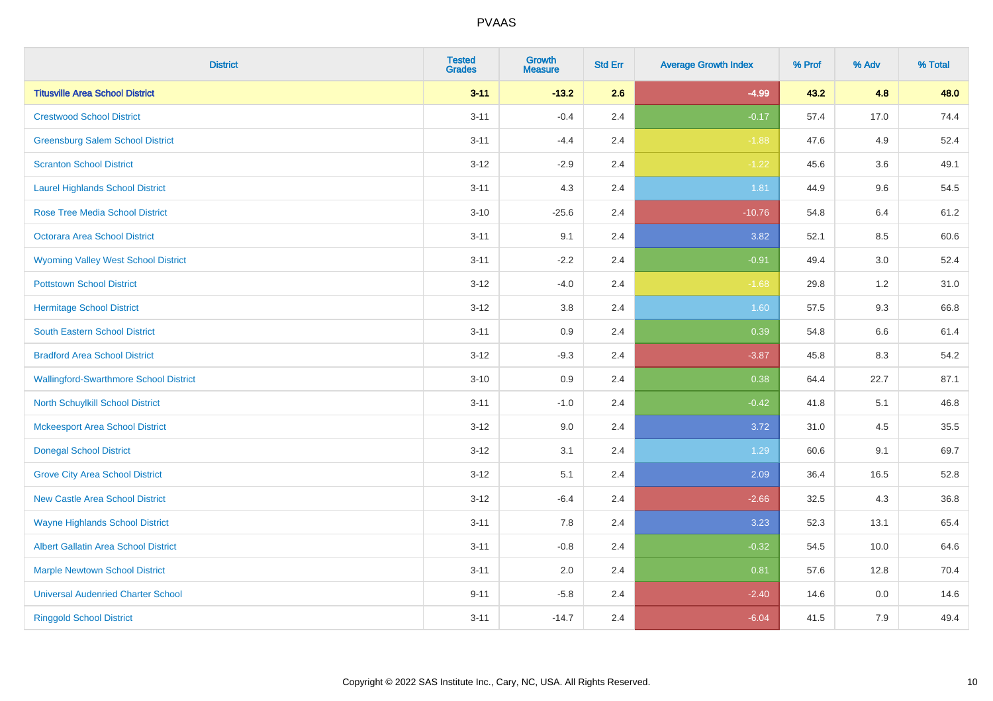| <b>District</b>                               | <b>Tested</b><br><b>Grades</b> | <b>Growth</b><br><b>Measure</b> | <b>Std Err</b> | <b>Average Growth Index</b> | % Prof | % Adv   | % Total |
|-----------------------------------------------|--------------------------------|---------------------------------|----------------|-----------------------------|--------|---------|---------|
| <b>Titusville Area School District</b>        | $3 - 11$                       | $-13.2$                         | 2.6            | $-4.99$                     | 43.2   | 4.8     | 48.0    |
| <b>Crestwood School District</b>              | $3 - 11$                       | $-0.4$                          | 2.4            | $-0.17$                     | 57.4   | 17.0    | 74.4    |
| <b>Greensburg Salem School District</b>       | $3 - 11$                       | $-4.4$                          | 2.4            | $-1.88$                     | 47.6   | 4.9     | 52.4    |
| <b>Scranton School District</b>               | $3 - 12$                       | $-2.9$                          | 2.4            | $-1.22$                     | 45.6   | 3.6     | 49.1    |
| <b>Laurel Highlands School District</b>       | $3 - 11$                       | 4.3                             | 2.4            | 1.81                        | 44.9   | 9.6     | 54.5    |
| <b>Rose Tree Media School District</b>        | $3 - 10$                       | $-25.6$                         | 2.4            | $-10.76$                    | 54.8   | 6.4     | 61.2    |
| Octorara Area School District                 | $3 - 11$                       | 9.1                             | 2.4            | 3.82                        | 52.1   | 8.5     | 60.6    |
| <b>Wyoming Valley West School District</b>    | $3 - 11$                       | $-2.2$                          | 2.4            | $-0.91$                     | 49.4   | 3.0     | 52.4    |
| <b>Pottstown School District</b>              | $3 - 12$                       | $-4.0$                          | 2.4            | $-1.68$                     | 29.8   | 1.2     | 31.0    |
| <b>Hermitage School District</b>              | $3 - 12$                       | 3.8                             | 2.4            | 1.60                        | 57.5   | 9.3     | 66.8    |
| South Eastern School District                 | $3 - 11$                       | 0.9                             | 2.4            | 0.39                        | 54.8   | 6.6     | 61.4    |
| <b>Bradford Area School District</b>          | $3-12$                         | $-9.3$                          | 2.4            | $-3.87$                     | 45.8   | 8.3     | 54.2    |
| <b>Wallingford-Swarthmore School District</b> | $3 - 10$                       | 0.9                             | 2.4            | 0.38                        | 64.4   | 22.7    | 87.1    |
| <b>North Schuylkill School District</b>       | $3 - 11$                       | $-1.0$                          | 2.4            | $-0.42$                     | 41.8   | 5.1     | 46.8    |
| <b>Mckeesport Area School District</b>        | $3 - 12$                       | 9.0                             | 2.4            | 3.72                        | 31.0   | 4.5     | 35.5    |
| <b>Donegal School District</b>                | $3 - 12$                       | 3.1                             | 2.4            | 1.29                        | 60.6   | 9.1     | 69.7    |
| <b>Grove City Area School District</b>        | $3 - 12$                       | 5.1                             | 2.4            | 2.09                        | 36.4   | 16.5    | 52.8    |
| <b>New Castle Area School District</b>        | $3 - 12$                       | $-6.4$                          | 2.4            | $-2.66$                     | 32.5   | 4.3     | 36.8    |
| <b>Wayne Highlands School District</b>        | $3 - 11$                       | 7.8                             | 2.4            | 3.23                        | 52.3   | 13.1    | 65.4    |
| Albert Gallatin Area School District          | $3 - 11$                       | $-0.8$                          | 2.4            | $-0.32$                     | 54.5   | 10.0    | 64.6    |
| <b>Marple Newtown School District</b>         | $3 - 11$                       | 2.0                             | 2.4            | 0.81                        | 57.6   | 12.8    | 70.4    |
| <b>Universal Audenried Charter School</b>     | $9 - 11$                       | $-5.8$                          | 2.4            | $-2.40$                     | 14.6   | $0.0\,$ | 14.6    |
| <b>Ringgold School District</b>               | $3 - 11$                       | $-14.7$                         | 2.4            | $-6.04$                     | 41.5   | 7.9     | 49.4    |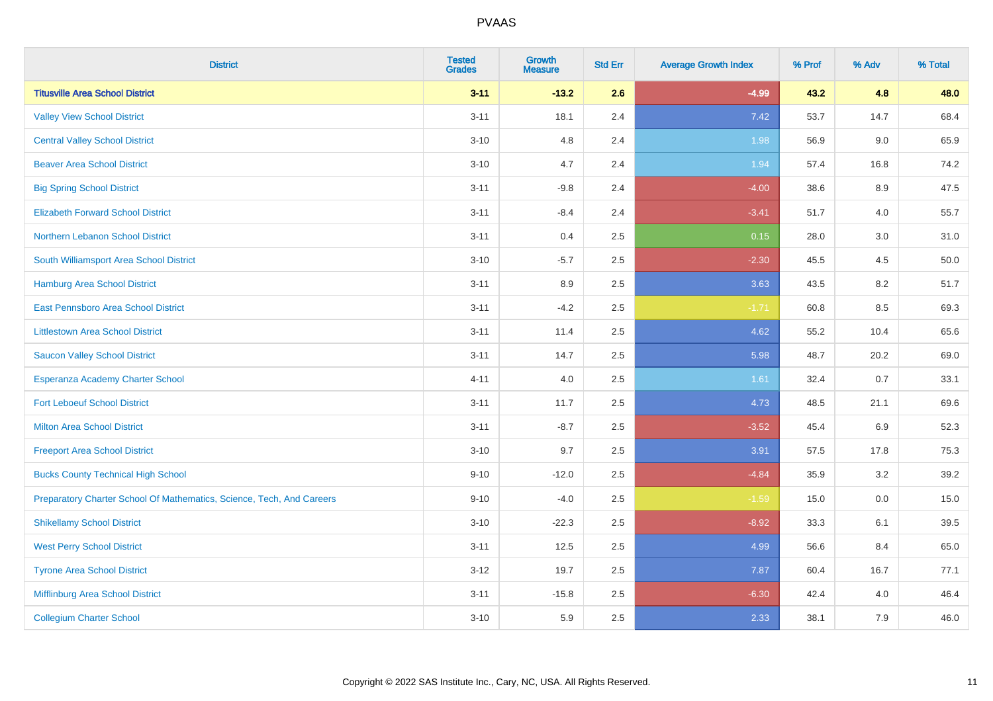| <b>District</b>                                                       | <b>Tested</b><br><b>Grades</b> | <b>Growth</b><br><b>Measure</b> | <b>Std Err</b> | <b>Average Growth Index</b> | % Prof | % Adv | % Total |
|-----------------------------------------------------------------------|--------------------------------|---------------------------------|----------------|-----------------------------|--------|-------|---------|
| <b>Titusville Area School District</b>                                | $3 - 11$                       | $-13.2$                         | 2.6            | $-4.99$                     | 43.2   | 4.8   | 48.0    |
| <b>Valley View School District</b>                                    | $3 - 11$                       | 18.1                            | 2.4            | 7.42                        | 53.7   | 14.7  | 68.4    |
| <b>Central Valley School District</b>                                 | $3 - 10$                       | 4.8                             | 2.4            | 1.98                        | 56.9   | 9.0   | 65.9    |
| <b>Beaver Area School District</b>                                    | $3 - 10$                       | 4.7                             | 2.4            | 1.94                        | 57.4   | 16.8  | 74.2    |
| <b>Big Spring School District</b>                                     | $3 - 11$                       | $-9.8$                          | 2.4            | $-4.00$                     | 38.6   | 8.9   | 47.5    |
| <b>Elizabeth Forward School District</b>                              | $3 - 11$                       | $-8.4$                          | 2.4            | $-3.41$                     | 51.7   | 4.0   | 55.7    |
| Northern Lebanon School District                                      | $3 - 11$                       | 0.4                             | 2.5            | 0.15                        | 28.0   | 3.0   | 31.0    |
| South Williamsport Area School District                               | $3 - 10$                       | $-5.7$                          | 2.5            | $-2.30$                     | 45.5   | 4.5   | 50.0    |
| Hamburg Area School District                                          | $3 - 11$                       | 8.9                             | 2.5            | 3.63                        | 43.5   | 8.2   | 51.7    |
| East Pennsboro Area School District                                   | $3 - 11$                       | $-4.2$                          | 2.5            | $-1.71$                     | 60.8   | 8.5   | 69.3    |
| <b>Littlestown Area School District</b>                               | $3 - 11$                       | 11.4                            | 2.5            | 4.62                        | 55.2   | 10.4  | 65.6    |
| <b>Saucon Valley School District</b>                                  | $3 - 11$                       | 14.7                            | 2.5            | 5.98                        | 48.7   | 20.2  | 69.0    |
| Esperanza Academy Charter School                                      | $4 - 11$                       | 4.0                             | 2.5            | 1.61                        | 32.4   | 0.7   | 33.1    |
| <b>Fort Leboeuf School District</b>                                   | $3 - 11$                       | 11.7                            | 2.5            | 4.73                        | 48.5   | 21.1  | 69.6    |
| <b>Milton Area School District</b>                                    | $3 - 11$                       | $-8.7$                          | 2.5            | $-3.52$                     | 45.4   | 6.9   | 52.3    |
| <b>Freeport Area School District</b>                                  | $3 - 10$                       | 9.7                             | 2.5            | 3.91                        | 57.5   | 17.8  | 75.3    |
| <b>Bucks County Technical High School</b>                             | $9 - 10$                       | $-12.0$                         | 2.5            | $-4.84$                     | 35.9   | 3.2   | 39.2    |
| Preparatory Charter School Of Mathematics, Science, Tech, And Careers | $9 - 10$                       | $-4.0$                          | 2.5            | $-1.59$                     | 15.0   | 0.0   | 15.0    |
| <b>Shikellamy School District</b>                                     | $3 - 10$                       | $-22.3$                         | 2.5            | $-8.92$                     | 33.3   | 6.1   | 39.5    |
| <b>West Perry School District</b>                                     | $3 - 11$                       | 12.5                            | 2.5            | 4.99                        | 56.6   | 8.4   | 65.0    |
| <b>Tyrone Area School District</b>                                    | $3-12$                         | 19.7                            | 2.5            | 7.87                        | 60.4   | 16.7  | 77.1    |
| Mifflinburg Area School District                                      | $3 - 11$                       | $-15.8$                         | 2.5            | $-6.30$                     | 42.4   | 4.0   | 46.4    |
| <b>Collegium Charter School</b>                                       | $3 - 10$                       | 5.9                             | 2.5            | 2.33                        | 38.1   | 7.9   | 46.0    |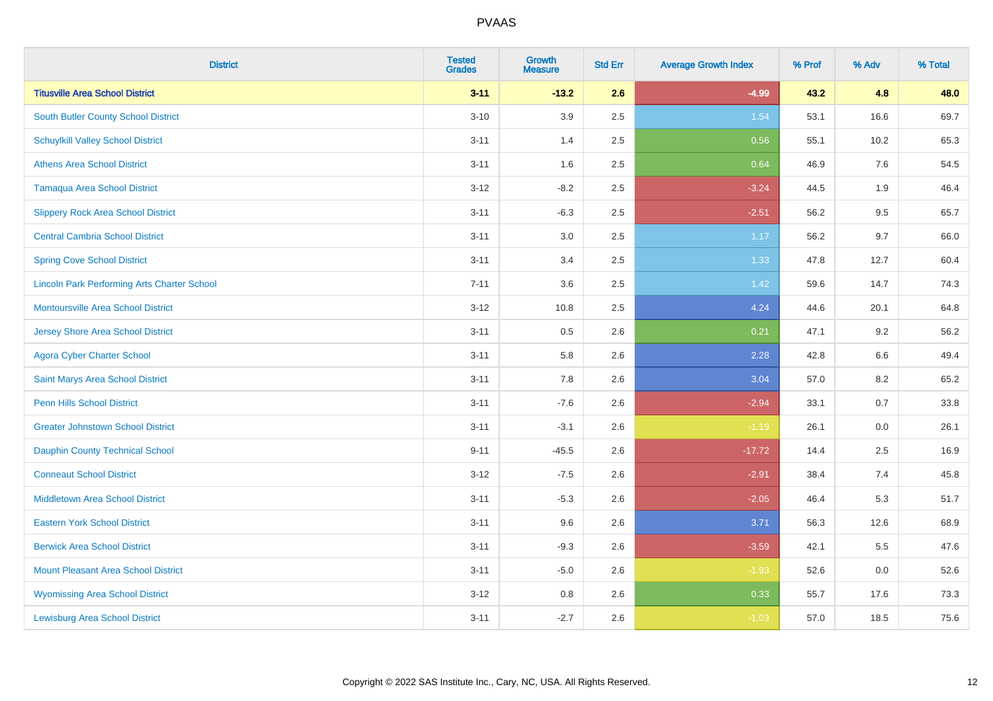| <b>District</b>                                    | <b>Tested</b><br><b>Grades</b> | <b>Growth</b><br><b>Measure</b> | <b>Std Err</b> | <b>Average Growth Index</b> | % Prof | % Adv   | % Total |
|----------------------------------------------------|--------------------------------|---------------------------------|----------------|-----------------------------|--------|---------|---------|
| <b>Titusville Area School District</b>             | $3 - 11$                       | $-13.2$                         | 2.6            | $-4.99$                     | 43.2   | 4.8     | 48.0    |
| <b>South Butler County School District</b>         | $3 - 10$                       | 3.9                             | 2.5            | 1.54                        | 53.1   | 16.6    | 69.7    |
| <b>Schuylkill Valley School District</b>           | $3 - 11$                       | 1.4                             | 2.5            | 0.56                        | 55.1   | 10.2    | 65.3    |
| <b>Athens Area School District</b>                 | $3 - 11$                       | 1.6                             | 2.5            | 0.64                        | 46.9   | 7.6     | 54.5    |
| <b>Tamaqua Area School District</b>                | $3 - 12$                       | $-8.2$                          | 2.5            | $-3.24$                     | 44.5   | 1.9     | 46.4    |
| <b>Slippery Rock Area School District</b>          | $3 - 11$                       | $-6.3$                          | 2.5            | $-2.51$                     | 56.2   | 9.5     | 65.7    |
| <b>Central Cambria School District</b>             | $3 - 11$                       | 3.0                             | 2.5            | 1.17                        | 56.2   | 9.7     | 66.0    |
| <b>Spring Cove School District</b>                 | $3 - 11$                       | 3.4                             | 2.5            | 1.33                        | 47.8   | 12.7    | 60.4    |
| <b>Lincoln Park Performing Arts Charter School</b> | $7 - 11$                       | 3.6                             | 2.5            | 1.42                        | 59.6   | 14.7    | 74.3    |
| <b>Montoursville Area School District</b>          | $3 - 12$                       | 10.8                            | 2.5            | 4.24                        | 44.6   | 20.1    | 64.8    |
| <b>Jersey Shore Area School District</b>           | $3 - 11$                       | 0.5                             | 2.6            | 0.21                        | 47.1   | 9.2     | 56.2    |
| <b>Agora Cyber Charter School</b>                  | $3 - 11$                       | 5.8                             | 2.6            | 2.28                        | 42.8   | 6.6     | 49.4    |
| Saint Marys Area School District                   | $3 - 11$                       | 7.8                             | 2.6            | 3.04                        | 57.0   | $8.2\,$ | 65.2    |
| <b>Penn Hills School District</b>                  | $3 - 11$                       | $-7.6$                          | 2.6            | $-2.94$                     | 33.1   | 0.7     | 33.8    |
| <b>Greater Johnstown School District</b>           | $3 - 11$                       | $-3.1$                          | 2.6            | $-1.19$                     | 26.1   | 0.0     | 26.1    |
| <b>Dauphin County Technical School</b>             | $9 - 11$                       | $-45.5$                         | 2.6            | $-17.72$                    | 14.4   | 2.5     | 16.9    |
| <b>Conneaut School District</b>                    | $3 - 12$                       | $-7.5$                          | 2.6            | $-2.91$                     | 38.4   | 7.4     | 45.8    |
| <b>Middletown Area School District</b>             | $3 - 11$                       | $-5.3$                          | 2.6            | $-2.05$                     | 46.4   | 5.3     | 51.7    |
| <b>Eastern York School District</b>                | $3 - 11$                       | 9.6                             | 2.6            | 3.71                        | 56.3   | 12.6    | 68.9    |
| <b>Berwick Area School District</b>                | $3 - 11$                       | $-9.3$                          | 2.6            | $-3.59$                     | 42.1   | 5.5     | 47.6    |
| <b>Mount Pleasant Area School District</b>         | $3 - 11$                       | $-5.0$                          | 2.6            | $-1.93$                     | 52.6   | 0.0     | 52.6    |
| <b>Wyomissing Area School District</b>             | $3 - 12$                       | 0.8                             | 2.6            | 0.33                        | 55.7   | 17.6    | 73.3    |
| <b>Lewisburg Area School District</b>              | $3 - 11$                       | $-2.7$                          | 2.6            | $-1.03$                     | 57.0   | 18.5    | 75.6    |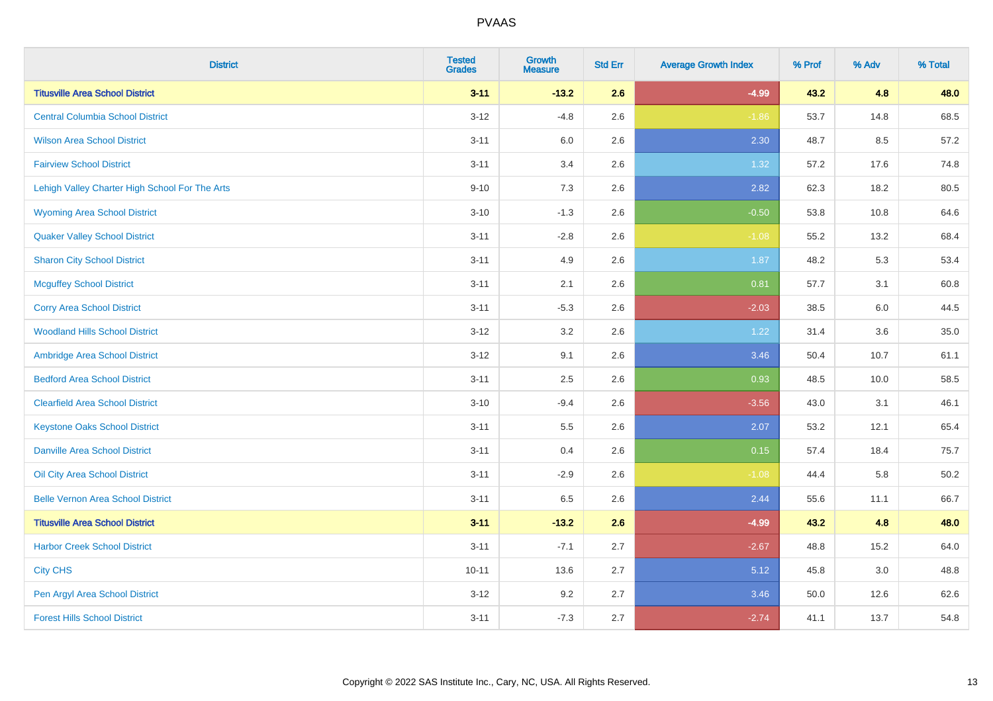| <b>District</b>                                | <b>Tested</b><br><b>Grades</b> | <b>Growth</b><br><b>Measure</b> | <b>Std Err</b> | <b>Average Growth Index</b> | % Prof | % Adv | % Total |
|------------------------------------------------|--------------------------------|---------------------------------|----------------|-----------------------------|--------|-------|---------|
| <b>Titusville Area School District</b>         | $3 - 11$                       | $-13.2$                         | 2.6            | $-4.99$                     | 43.2   | 4.8   | 48.0    |
| <b>Central Columbia School District</b>        | $3 - 12$                       | $-4.8$                          | 2.6            | $-1.86$                     | 53.7   | 14.8  | 68.5    |
| <b>Wilson Area School District</b>             | $3 - 11$                       | 6.0                             | 2.6            | 2.30                        | 48.7   | 8.5   | 57.2    |
| <b>Fairview School District</b>                | $3 - 11$                       | 3.4                             | 2.6            | 1.32                        | 57.2   | 17.6  | 74.8    |
| Lehigh Valley Charter High School For The Arts | $9 - 10$                       | 7.3                             | 2.6            | 2.82                        | 62.3   | 18.2  | 80.5    |
| <b>Wyoming Area School District</b>            | $3 - 10$                       | $-1.3$                          | 2.6            | $-0.50$                     | 53.8   | 10.8  | 64.6    |
| <b>Quaker Valley School District</b>           | $3 - 11$                       | $-2.8$                          | 2.6            | $-1.08$                     | 55.2   | 13.2  | 68.4    |
| <b>Sharon City School District</b>             | $3 - 11$                       | 4.9                             | 2.6            | 1.87                        | 48.2   | 5.3   | 53.4    |
| <b>Mcguffey School District</b>                | $3 - 11$                       | 2.1                             | 2.6            | 0.81                        | 57.7   | 3.1   | 60.8    |
| <b>Corry Area School District</b>              | $3 - 11$                       | $-5.3$                          | 2.6            | $-2.03$                     | 38.5   | 6.0   | 44.5    |
| <b>Woodland Hills School District</b>          | $3-12$                         | 3.2                             | 2.6            | 1.22                        | 31.4   | 3.6   | 35.0    |
| Ambridge Area School District                  | $3 - 12$                       | 9.1                             | 2.6            | 3.46                        | 50.4   | 10.7  | 61.1    |
| <b>Bedford Area School District</b>            | $3 - 11$                       | 2.5                             | 2.6            | 0.93                        | 48.5   | 10.0  | 58.5    |
| <b>Clearfield Area School District</b>         | $3 - 10$                       | $-9.4$                          | 2.6            | $-3.56$                     | 43.0   | 3.1   | 46.1    |
| <b>Keystone Oaks School District</b>           | $3 - 11$                       | 5.5                             | 2.6            | 2.07                        | 53.2   | 12.1  | 65.4    |
| <b>Danville Area School District</b>           | $3 - 11$                       | 0.4                             | 2.6            | 0.15                        | 57.4   | 18.4  | 75.7    |
| Oil City Area School District                  | $3 - 11$                       | $-2.9$                          | 2.6            | $-1.08$                     | 44.4   | 5.8   | 50.2    |
| <b>Belle Vernon Area School District</b>       | $3 - 11$                       | 6.5                             | 2.6            | 2.44                        | 55.6   | 11.1  | 66.7    |
| <b>Titusville Area School District</b>         | $3 - 11$                       | $-13.2$                         | 2.6            | $-4.99$                     | 43.2   | 4.8   | 48.0    |
| <b>Harbor Creek School District</b>            | $3 - 11$                       | $-7.1$                          | 2.7            | $-2.67$                     | 48.8   | 15.2  | 64.0    |
| <b>City CHS</b>                                | $10 - 11$                      | 13.6                            | 2.7            | 5.12                        | 45.8   | 3.0   | 48.8    |
| Pen Argyl Area School District                 | $3 - 12$                       | 9.2                             | 2.7            | 3.46                        | 50.0   | 12.6  | 62.6    |
| <b>Forest Hills School District</b>            | $3 - 11$                       | $-7.3$                          | 2.7            | $-2.74$                     | 41.1   | 13.7  | 54.8    |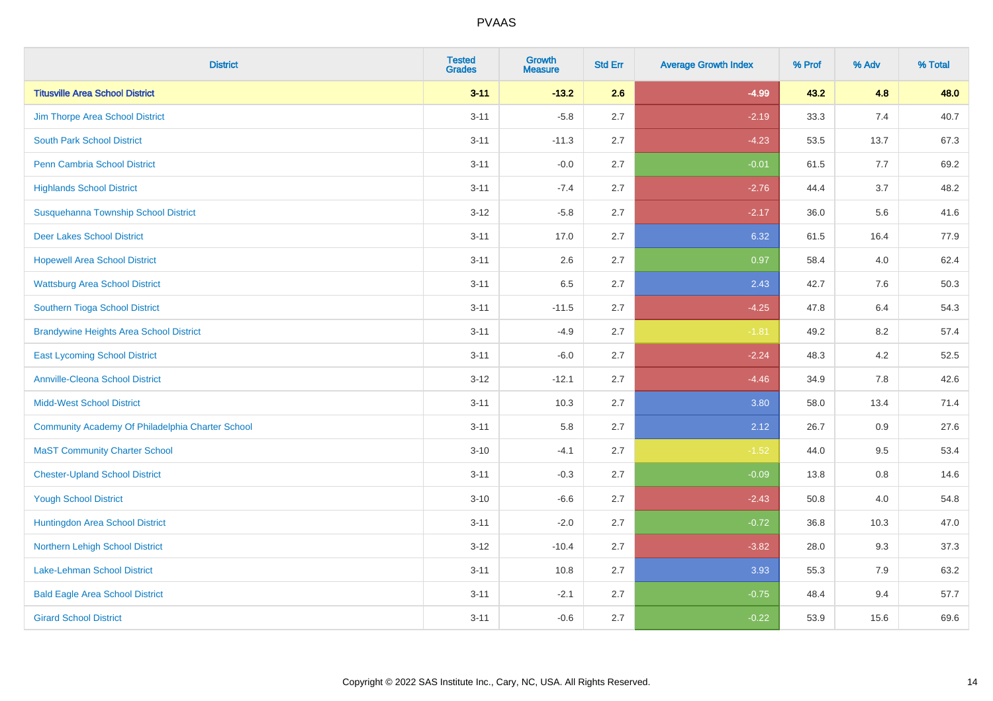| <b>District</b>                                  | <b>Tested</b><br><b>Grades</b> | <b>Growth</b><br><b>Measure</b> | <b>Std Err</b> | <b>Average Growth Index</b> | % Prof | % Adv | % Total |
|--------------------------------------------------|--------------------------------|---------------------------------|----------------|-----------------------------|--------|-------|---------|
| <b>Titusville Area School District</b>           | $3 - 11$                       | $-13.2$                         | 2.6            | $-4.99$                     | 43.2   | 4.8   | 48.0    |
| Jim Thorpe Area School District                  | $3 - 11$                       | $-5.8$                          | 2.7            | $-2.19$                     | 33.3   | 7.4   | 40.7    |
| <b>South Park School District</b>                | $3 - 11$                       | $-11.3$                         | 2.7            | $-4.23$                     | 53.5   | 13.7  | 67.3    |
| Penn Cambria School District                     | $3 - 11$                       | $-0.0$                          | 2.7            | $-0.01$                     | 61.5   | 7.7   | 69.2    |
| <b>Highlands School District</b>                 | $3 - 11$                       | $-7.4$                          | 2.7            | $-2.76$                     | 44.4   | 3.7   | 48.2    |
| Susquehanna Township School District             | $3 - 12$                       | $-5.8$                          | 2.7            | $-2.17$                     | 36.0   | 5.6   | 41.6    |
| <b>Deer Lakes School District</b>                | $3 - 11$                       | 17.0                            | 2.7            | 6.32                        | 61.5   | 16.4  | 77.9    |
| <b>Hopewell Area School District</b>             | $3 - 11$                       | 2.6                             | 2.7            | 0.97                        | 58.4   | 4.0   | 62.4    |
| <b>Wattsburg Area School District</b>            | $3 - 11$                       | 6.5                             | 2.7            | 2.43                        | 42.7   | 7.6   | 50.3    |
| Southern Tioga School District                   | $3 - 11$                       | $-11.5$                         | 2.7            | $-4.25$                     | 47.8   | 6.4   | 54.3    |
| <b>Brandywine Heights Area School District</b>   | $3 - 11$                       | $-4.9$                          | 2.7            | $-1.81$                     | 49.2   | 8.2   | 57.4    |
| <b>East Lycoming School District</b>             | $3 - 11$                       | $-6.0$                          | 2.7            | $-2.24$                     | 48.3   | 4.2   | 52.5    |
| <b>Annville-Cleona School District</b>           | $3 - 12$                       | $-12.1$                         | 2.7            | $-4.46$                     | 34.9   | 7.8   | 42.6    |
| <b>Midd-West School District</b>                 | $3 - 11$                       | 10.3                            | 2.7            | 3.80                        | 58.0   | 13.4  | 71.4    |
| Community Academy Of Philadelphia Charter School | $3 - 11$                       | 5.8                             | 2.7            | 2.12                        | 26.7   | 0.9   | 27.6    |
| <b>MaST Community Charter School</b>             | $3 - 10$                       | $-4.1$                          | 2.7            | $-1.52$                     | 44.0   | 9.5   | 53.4    |
| <b>Chester-Upland School District</b>            | $3 - 11$                       | $-0.3$                          | 2.7            | $-0.09$                     | 13.8   | 0.8   | 14.6    |
| <b>Yough School District</b>                     | $3 - 10$                       | $-6.6$                          | 2.7            | $-2.43$                     | 50.8   | 4.0   | 54.8    |
| Huntingdon Area School District                  | $3 - 11$                       | $-2.0$                          | 2.7            | $-0.72$                     | 36.8   | 10.3  | 47.0    |
| Northern Lehigh School District                  | $3 - 12$                       | $-10.4$                         | 2.7            | $-3.82$                     | 28.0   | 9.3   | 37.3    |
| <b>Lake-Lehman School District</b>               | $3 - 11$                       | 10.8                            | 2.7            | 3.93                        | 55.3   | 7.9   | 63.2    |
| <b>Bald Eagle Area School District</b>           | $3 - 11$                       | $-2.1$                          | 2.7            | $-0.75$                     | 48.4   | 9.4   | 57.7    |
| <b>Girard School District</b>                    | $3 - 11$                       | $-0.6$                          | 2.7            | $-0.22$                     | 53.9   | 15.6  | 69.6    |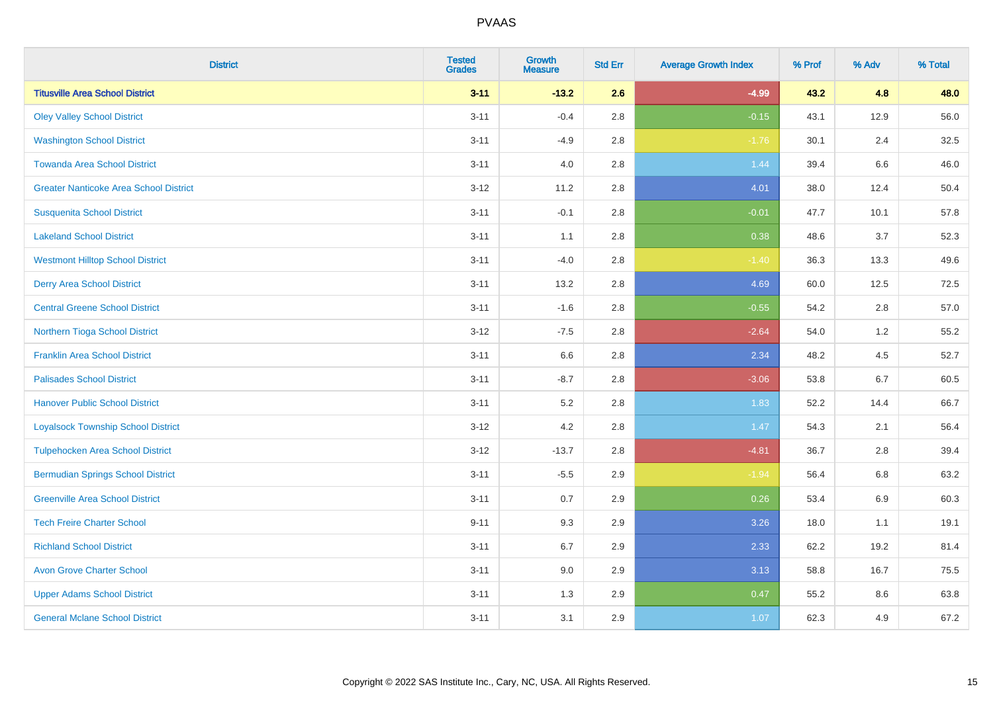| <b>District</b>                               | <b>Tested</b><br><b>Grades</b> | <b>Growth</b><br><b>Measure</b> | <b>Std Err</b> | <b>Average Growth Index</b> | % Prof | % Adv   | % Total |
|-----------------------------------------------|--------------------------------|---------------------------------|----------------|-----------------------------|--------|---------|---------|
| <b>Titusville Area School District</b>        | $3 - 11$                       | $-13.2$                         | 2.6            | $-4.99$                     | 43.2   | 4.8     | 48.0    |
| <b>Oley Valley School District</b>            | $3 - 11$                       | $-0.4$                          | 2.8            | $-0.15$                     | 43.1   | 12.9    | 56.0    |
| <b>Washington School District</b>             | $3 - 11$                       | $-4.9$                          | 2.8            | $-1.76$                     | 30.1   | 2.4     | 32.5    |
| <b>Towanda Area School District</b>           | $3 - 11$                       | 4.0                             | 2.8            | 1.44                        | 39.4   | $6.6\,$ | 46.0    |
| <b>Greater Nanticoke Area School District</b> | $3 - 12$                       | 11.2                            | 2.8            | 4.01                        | 38.0   | 12.4    | 50.4    |
| <b>Susquenita School District</b>             | $3 - 11$                       | $-0.1$                          | 2.8            | $-0.01$                     | 47.7   | 10.1    | 57.8    |
| <b>Lakeland School District</b>               | $3 - 11$                       | 1.1                             | 2.8            | 0.38                        | 48.6   | 3.7     | 52.3    |
| <b>Westmont Hilltop School District</b>       | $3 - 11$                       | $-4.0$                          | 2.8            | $-1.40$                     | 36.3   | 13.3    | 49.6    |
| <b>Derry Area School District</b>             | $3 - 11$                       | 13.2                            | 2.8            | 4.69                        | 60.0   | 12.5    | 72.5    |
| <b>Central Greene School District</b>         | $3 - 11$                       | $-1.6$                          | 2.8            | $-0.55$                     | 54.2   | 2.8     | 57.0    |
| Northern Tioga School District                | $3 - 12$                       | $-7.5$                          | 2.8            | $-2.64$                     | 54.0   | 1.2     | 55.2    |
| <b>Franklin Area School District</b>          | $3 - 11$                       | 6.6                             | 2.8            | 2.34                        | 48.2   | 4.5     | 52.7    |
| <b>Palisades School District</b>              | $3 - 11$                       | $-8.7$                          | 2.8            | $-3.06$                     | 53.8   | 6.7     | 60.5    |
| <b>Hanover Public School District</b>         | $3 - 11$                       | 5.2                             | 2.8            | 1.83                        | 52.2   | 14.4    | 66.7    |
| <b>Loyalsock Township School District</b>     | $3 - 12$                       | 4.2                             | 2.8            | 1.47                        | 54.3   | 2.1     | 56.4    |
| <b>Tulpehocken Area School District</b>       | $3 - 12$                       | $-13.7$                         | 2.8            | $-4.81$                     | 36.7   | 2.8     | 39.4    |
| <b>Bermudian Springs School District</b>      | $3 - 11$                       | $-5.5$                          | 2.9            | $-1.94$                     | 56.4   | 6.8     | 63.2    |
| <b>Greenville Area School District</b>        | $3 - 11$                       | 0.7                             | 2.9            | 0.26                        | 53.4   | 6.9     | 60.3    |
| <b>Tech Freire Charter School</b>             | $9 - 11$                       | 9.3                             | 2.9            | 3.26                        | 18.0   | 1.1     | 19.1    |
| <b>Richland School District</b>               | $3 - 11$                       | 6.7                             | 2.9            | 2.33                        | 62.2   | 19.2    | 81.4    |
| <b>Avon Grove Charter School</b>              | $3 - 11$                       | 9.0                             | 2.9            | 3.13                        | 58.8   | 16.7    | 75.5    |
| <b>Upper Adams School District</b>            | $3 - 11$                       | 1.3                             | 2.9            | 0.47                        | 55.2   | 8.6     | 63.8    |
| <b>General Mclane School District</b>         | $3 - 11$                       | 3.1                             | 2.9            | 1.07                        | 62.3   | 4.9     | 67.2    |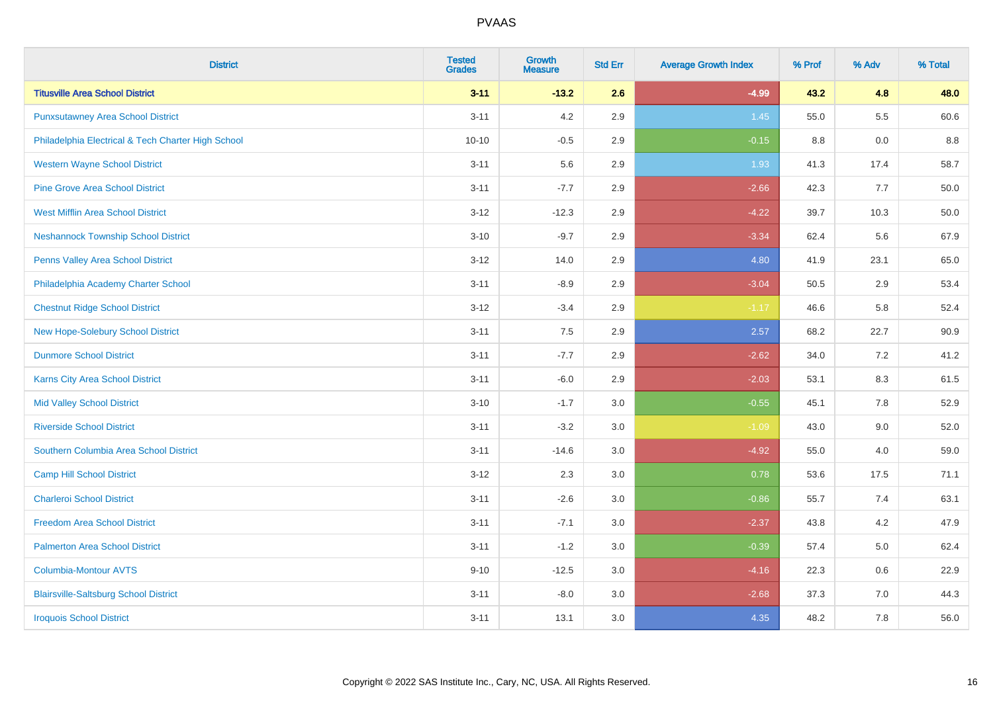| <b>District</b>                                    | <b>Tested</b><br><b>Grades</b> | <b>Growth</b><br><b>Measure</b> | <b>Std Err</b> | <b>Average Growth Index</b> | % Prof | % Adv   | % Total |
|----------------------------------------------------|--------------------------------|---------------------------------|----------------|-----------------------------|--------|---------|---------|
| <b>Titusville Area School District</b>             | $3 - 11$                       | $-13.2$                         | 2.6            | $-4.99$                     | 43.2   | 4.8     | 48.0    |
| <b>Punxsutawney Area School District</b>           | $3 - 11$                       | 4.2                             | 2.9            | 1.45                        | 55.0   | $5.5\,$ | 60.6    |
| Philadelphia Electrical & Tech Charter High School | $10 - 10$                      | $-0.5$                          | 2.9            | $-0.15$                     | 8.8    | 0.0     | 8.8     |
| <b>Western Wayne School District</b>               | $3 - 11$                       | 5.6                             | 2.9            | 1.93                        | 41.3   | 17.4    | 58.7    |
| <b>Pine Grove Area School District</b>             | $3 - 11$                       | $-7.7$                          | 2.9            | $-2.66$                     | 42.3   | 7.7     | 50.0    |
| <b>West Mifflin Area School District</b>           | $3 - 12$                       | $-12.3$                         | 2.9            | $-4.22$                     | 39.7   | 10.3    | 50.0    |
| <b>Neshannock Township School District</b>         | $3 - 10$                       | $-9.7$                          | 2.9            | $-3.34$                     | 62.4   | 5.6     | 67.9    |
| <b>Penns Valley Area School District</b>           | $3 - 12$                       | 14.0                            | 2.9            | 4.80                        | 41.9   | 23.1    | 65.0    |
| Philadelphia Academy Charter School                | $3 - 11$                       | $-8.9$                          | 2.9            | $-3.04$                     | 50.5   | 2.9     | 53.4    |
| <b>Chestnut Ridge School District</b>              | $3 - 12$                       | $-3.4$                          | 2.9            | $-1.17$                     | 46.6   | 5.8     | 52.4    |
| New Hope-Solebury School District                  | $3 - 11$                       | 7.5                             | 2.9            | 2.57                        | 68.2   | 22.7    | 90.9    |
| <b>Dunmore School District</b>                     | $3 - 11$                       | $-7.7$                          | 2.9            | $-2.62$                     | 34.0   | 7.2     | 41.2    |
| Karns City Area School District                    | $3 - 11$                       | $-6.0$                          | 2.9            | $-2.03$                     | 53.1   | $8.3\,$ | 61.5    |
| <b>Mid Valley School District</b>                  | $3 - 10$                       | $-1.7$                          | 3.0            | $-0.55$                     | 45.1   | $7.8\,$ | 52.9    |
| <b>Riverside School District</b>                   | $3 - 11$                       | $-3.2$                          | 3.0            | $-1.09$                     | 43.0   | 9.0     | 52.0    |
| Southern Columbia Area School District             | $3 - 11$                       | $-14.6$                         | 3.0            | $-4.92$                     | 55.0   | 4.0     | 59.0    |
| <b>Camp Hill School District</b>                   | $3 - 12$                       | 2.3                             | 3.0            | 0.78                        | 53.6   | 17.5    | 71.1    |
| <b>Charleroi School District</b>                   | $3 - 11$                       | $-2.6$                          | 3.0            | $-0.86$                     | 55.7   | 7.4     | 63.1    |
| <b>Freedom Area School District</b>                | $3 - 11$                       | $-7.1$                          | 3.0            | $-2.37$                     | 43.8   | 4.2     | 47.9    |
| <b>Palmerton Area School District</b>              | $3 - 11$                       | $-1.2$                          | 3.0            | $-0.39$                     | 57.4   | 5.0     | 62.4    |
| <b>Columbia-Montour AVTS</b>                       | $9 - 10$                       | $-12.5$                         | 3.0            | $-4.16$                     | 22.3   | 0.6     | 22.9    |
| <b>Blairsville-Saltsburg School District</b>       | $3 - 11$                       | $-8.0$                          | 3.0            | $-2.68$                     | 37.3   | 7.0     | 44.3    |
| <b>Iroquois School District</b>                    | $3 - 11$                       | 13.1                            | 3.0            | 4.35                        | 48.2   | 7.8     | 56.0    |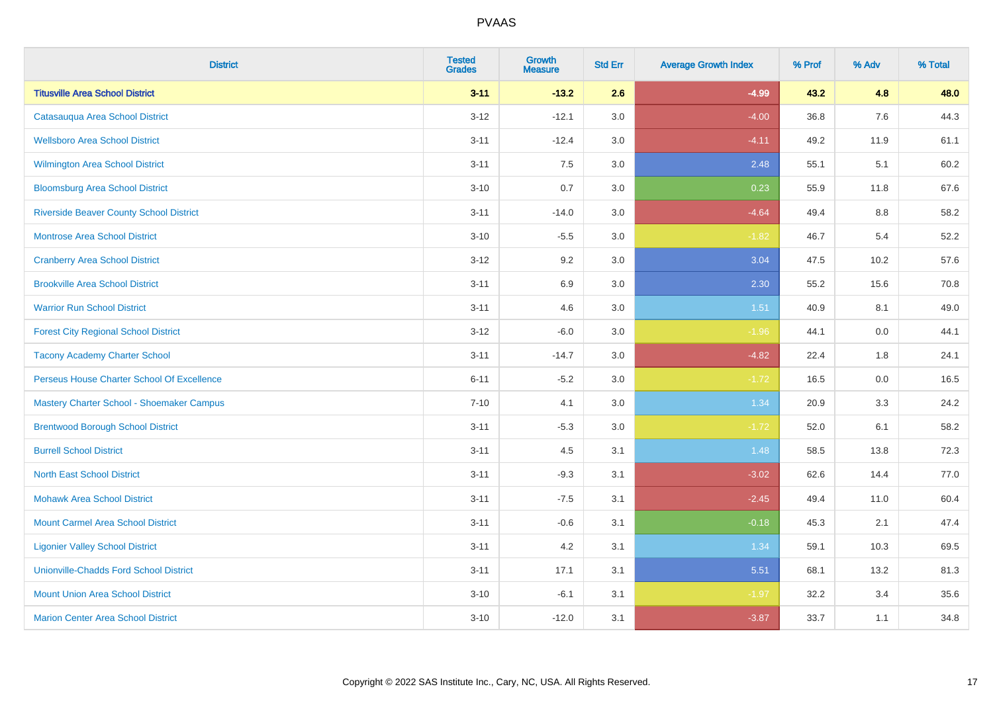| <b>District</b>                                | <b>Tested</b><br><b>Grades</b> | <b>Growth</b><br><b>Measure</b> | <b>Std Err</b> | <b>Average Growth Index</b> | % Prof | % Adv | % Total |
|------------------------------------------------|--------------------------------|---------------------------------|----------------|-----------------------------|--------|-------|---------|
| <b>Titusville Area School District</b>         | $3 - 11$                       | $-13.2$                         | 2.6            | $-4.99$                     | 43.2   | 4.8   | 48.0    |
| Catasauqua Area School District                | $3 - 12$                       | $-12.1$                         | 3.0            | $-4.00$                     | 36.8   | 7.6   | 44.3    |
| <b>Wellsboro Area School District</b>          | $3 - 11$                       | $-12.4$                         | 3.0            | $-4.11$                     | 49.2   | 11.9  | 61.1    |
| <b>Wilmington Area School District</b>         | $3 - 11$                       | 7.5                             | 3.0            | 2.48                        | 55.1   | 5.1   | 60.2    |
| <b>Bloomsburg Area School District</b>         | $3 - 10$                       | 0.7                             | 3.0            | 0.23                        | 55.9   | 11.8  | 67.6    |
| <b>Riverside Beaver County School District</b> | $3 - 11$                       | $-14.0$                         | 3.0            | $-4.64$                     | 49.4   | 8.8   | 58.2    |
| <b>Montrose Area School District</b>           | $3 - 10$                       | $-5.5$                          | 3.0            | $-1.82$                     | 46.7   | 5.4   | 52.2    |
| <b>Cranberry Area School District</b>          | $3 - 12$                       | 9.2                             | 3.0            | 3.04                        | 47.5   | 10.2  | 57.6    |
| <b>Brookville Area School District</b>         | $3 - 11$                       | 6.9                             | 3.0            | 2.30                        | 55.2   | 15.6  | 70.8    |
| <b>Warrior Run School District</b>             | $3 - 11$                       | 4.6                             | 3.0            | 1.51                        | 40.9   | 8.1   | 49.0    |
| <b>Forest City Regional School District</b>    | $3 - 12$                       | $-6.0$                          | 3.0            | $-1.96$                     | 44.1   | 0.0   | 44.1    |
| <b>Tacony Academy Charter School</b>           | $3 - 11$                       | $-14.7$                         | 3.0            | $-4.82$                     | 22.4   | 1.8   | 24.1    |
| Perseus House Charter School Of Excellence     | $6 - 11$                       | $-5.2$                          | 3.0            | $-1.72$                     | 16.5   | 0.0   | 16.5    |
| Mastery Charter School - Shoemaker Campus      | $7 - 10$                       | 4.1                             | 3.0            | 1.34                        | 20.9   | 3.3   | 24.2    |
| <b>Brentwood Borough School District</b>       | $3 - 11$                       | $-5.3$                          | 3.0            | $-1.72$                     | 52.0   | 6.1   | 58.2    |
| <b>Burrell School District</b>                 | $3 - 11$                       | 4.5                             | 3.1            | 1.48                        | 58.5   | 13.8  | 72.3    |
| <b>North East School District</b>              | $3 - 11$                       | $-9.3$                          | 3.1            | $-3.02$                     | 62.6   | 14.4  | 77.0    |
| <b>Mohawk Area School District</b>             | $3 - 11$                       | $-7.5$                          | 3.1            | $-2.45$                     | 49.4   | 11.0  | 60.4    |
| <b>Mount Carmel Area School District</b>       | $3 - 11$                       | $-0.6$                          | 3.1            | $-0.18$                     | 45.3   | 2.1   | 47.4    |
| <b>Ligonier Valley School District</b>         | $3 - 11$                       | 4.2                             | 3.1            | 1.34                        | 59.1   | 10.3  | 69.5    |
| <b>Unionville-Chadds Ford School District</b>  | $3 - 11$                       | 17.1                            | 3.1            | 5.51                        | 68.1   | 13.2  | 81.3    |
| <b>Mount Union Area School District</b>        | $3 - 10$                       | $-6.1$                          | 3.1            | $-1.97$                     | 32.2   | 3.4   | 35.6    |
| <b>Marion Center Area School District</b>      | $3 - 10$                       | $-12.0$                         | 3.1            | $-3.87$                     | 33.7   | 1.1   | 34.8    |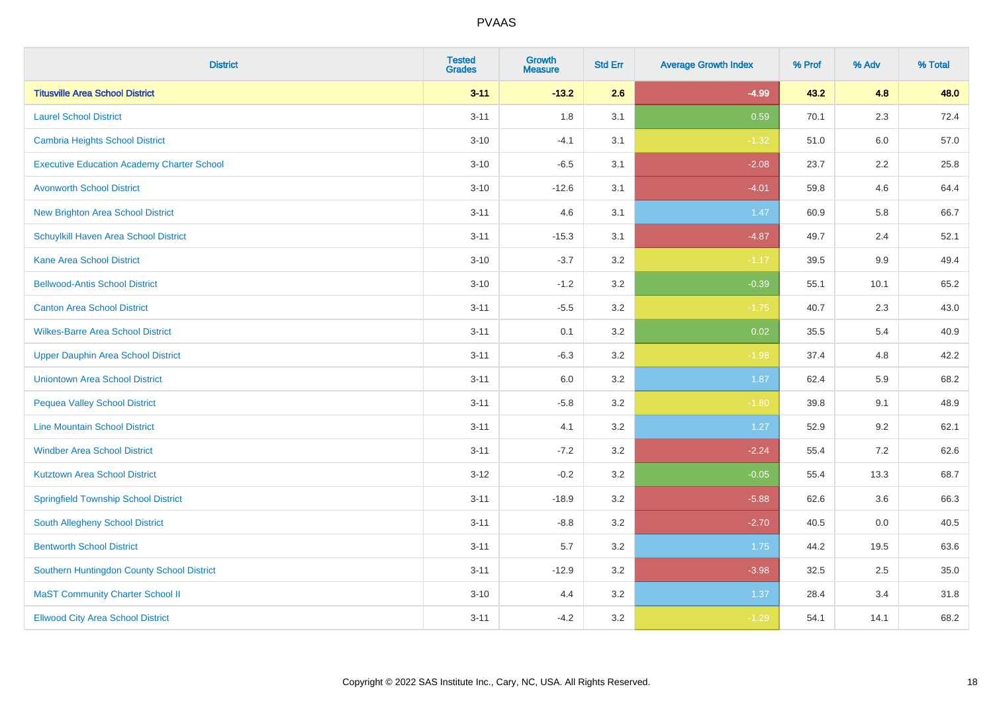| <b>District</b>                                   | <b>Tested</b><br><b>Grades</b> | Growth<br><b>Measure</b> | <b>Std Err</b> | <b>Average Growth Index</b> | % Prof | % Adv   | % Total |
|---------------------------------------------------|--------------------------------|--------------------------|----------------|-----------------------------|--------|---------|---------|
| <b>Titusville Area School District</b>            | $3 - 11$                       | $-13.2$                  | 2.6            | $-4.99$                     | 43.2   | 4.8     | 48.0    |
| <b>Laurel School District</b>                     | $3 - 11$                       | 1.8                      | 3.1            | 0.59                        | 70.1   | 2.3     | 72.4    |
| Cambria Heights School District                   | $3 - 10$                       | $-4.1$                   | 3.1            | $-1.32$                     | 51.0   | 6.0     | 57.0    |
| <b>Executive Education Academy Charter School</b> | $3 - 10$                       | $-6.5$                   | 3.1            | $-2.08$                     | 23.7   | $2.2\,$ | 25.8    |
| <b>Avonworth School District</b>                  | $3 - 10$                       | $-12.6$                  | 3.1            | $-4.01$                     | 59.8   | 4.6     | 64.4    |
| <b>New Brighton Area School District</b>          | $3 - 11$                       | 4.6                      | 3.1            | 1.47                        | 60.9   | 5.8     | 66.7    |
| Schuylkill Haven Area School District             | $3 - 11$                       | $-15.3$                  | 3.1            | $-4.87$                     | 49.7   | 2.4     | 52.1    |
| <b>Kane Area School District</b>                  | $3 - 10$                       | $-3.7$                   | 3.2            | $-1.17$                     | 39.5   | 9.9     | 49.4    |
| <b>Bellwood-Antis School District</b>             | $3 - 10$                       | $-1.2$                   | 3.2            | $-0.39$                     | 55.1   | 10.1    | 65.2    |
| <b>Canton Area School District</b>                | $3 - 11$                       | $-5.5$                   | 3.2            | $-1.75$                     | 40.7   | 2.3     | 43.0    |
| <b>Wilkes-Barre Area School District</b>          | $3 - 11$                       | 0.1                      | 3.2            | 0.02                        | 35.5   | 5.4     | 40.9    |
| <b>Upper Dauphin Area School District</b>         | $3 - 11$                       | $-6.3$                   | 3.2            | $-1.98$                     | 37.4   | 4.8     | 42.2    |
| <b>Uniontown Area School District</b>             | $3 - 11$                       | 6.0                      | 3.2            | 1.87                        | 62.4   | 5.9     | 68.2    |
| <b>Pequea Valley School District</b>              | $3 - 11$                       | $-5.8$                   | 3.2            | $-1.80$                     | 39.8   | 9.1     | 48.9    |
| <b>Line Mountain School District</b>              | $3 - 11$                       | 4.1                      | 3.2            | 1.27                        | 52.9   | 9.2     | 62.1    |
| <b>Windber Area School District</b>               | $3 - 11$                       | $-7.2$                   | 3.2            | $-2.24$                     | 55.4   | 7.2     | 62.6    |
| <b>Kutztown Area School District</b>              | $3 - 12$                       | $-0.2$                   | 3.2            | $-0.05$                     | 55.4   | 13.3    | 68.7    |
| <b>Springfield Township School District</b>       | $3 - 11$                       | $-18.9$                  | 3.2            | $-5.88$                     | 62.6   | 3.6     | 66.3    |
| South Allegheny School District                   | $3 - 11$                       | $-8.8$                   | 3.2            | $-2.70$                     | 40.5   | 0.0     | 40.5    |
| <b>Bentworth School District</b>                  | $3 - 11$                       | 5.7                      | 3.2            | 1.75                        | 44.2   | 19.5    | 63.6    |
| Southern Huntingdon County School District        | $3 - 11$                       | $-12.9$                  | 3.2            | $-3.98$                     | 32.5   | 2.5     | 35.0    |
| <b>MaST Community Charter School II</b>           | $3 - 10$                       | 4.4                      | 3.2            | 1.37                        | 28.4   | 3.4     | 31.8    |
| <b>Ellwood City Area School District</b>          | $3 - 11$                       | $-4.2$                   | 3.2            | $-1.29$                     | 54.1   | 14.1    | 68.2    |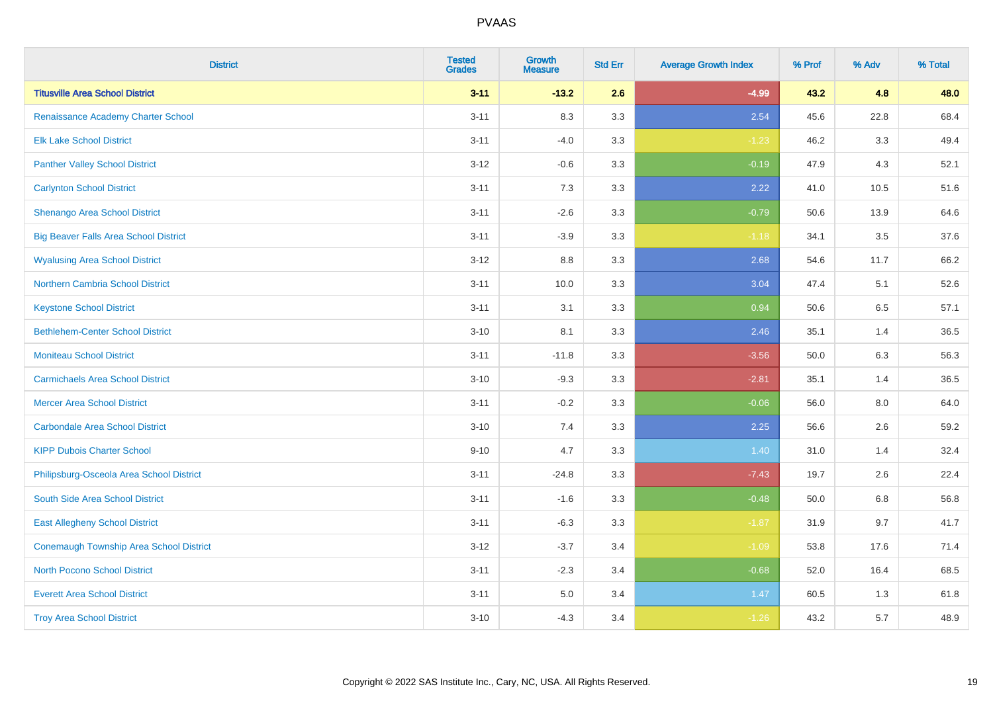| <b>District</b>                              | <b>Tested</b><br><b>Grades</b> | <b>Growth</b><br><b>Measure</b> | <b>Std Err</b> | <b>Average Growth Index</b> | % Prof | % Adv | % Total |
|----------------------------------------------|--------------------------------|---------------------------------|----------------|-----------------------------|--------|-------|---------|
| <b>Titusville Area School District</b>       | $3 - 11$                       | $-13.2$                         | 2.6            | $-4.99$                     | 43.2   | 4.8   | 48.0    |
| Renaissance Academy Charter School           | $3 - 11$                       | 8.3                             | 3.3            | 2.54                        | 45.6   | 22.8  | 68.4    |
| <b>Elk Lake School District</b>              | $3 - 11$                       | $-4.0$                          | 3.3            | $-1.23$                     | 46.2   | 3.3   | 49.4    |
| <b>Panther Valley School District</b>        | $3 - 12$                       | $-0.6$                          | 3.3            | $-0.19$                     | 47.9   | 4.3   | 52.1    |
| <b>Carlynton School District</b>             | $3 - 11$                       | 7.3                             | 3.3            | 2.22                        | 41.0   | 10.5  | 51.6    |
| Shenango Area School District                | $3 - 11$                       | $-2.6$                          | 3.3            | $-0.79$                     | 50.6   | 13.9  | 64.6    |
| <b>Big Beaver Falls Area School District</b> | $3 - 11$                       | $-3.9$                          | 3.3            | $-1.18$                     | 34.1   | 3.5   | 37.6    |
| <b>Wyalusing Area School District</b>        | $3 - 12$                       | 8.8                             | 3.3            | 2.68                        | 54.6   | 11.7  | 66.2    |
| <b>Northern Cambria School District</b>      | $3 - 11$                       | 10.0                            | 3.3            | 3.04                        | 47.4   | 5.1   | 52.6    |
| <b>Keystone School District</b>              | $3 - 11$                       | 3.1                             | 3.3            | 0.94                        | 50.6   | 6.5   | 57.1    |
| <b>Bethlehem-Center School District</b>      | $3 - 10$                       | 8.1                             | 3.3            | 2.46                        | 35.1   | 1.4   | 36.5    |
| <b>Moniteau School District</b>              | $3 - 11$                       | $-11.8$                         | 3.3            | $-3.56$                     | 50.0   | 6.3   | 56.3    |
| <b>Carmichaels Area School District</b>      | $3 - 10$                       | $-9.3$                          | 3.3            | $-2.81$                     | 35.1   | 1.4   | 36.5    |
| <b>Mercer Area School District</b>           | $3 - 11$                       | $-0.2$                          | 3.3            | $-0.06$                     | 56.0   | 8.0   | 64.0    |
| <b>Carbondale Area School District</b>       | $3 - 10$                       | 7.4                             | 3.3            | 2.25                        | 56.6   | 2.6   | 59.2    |
| <b>KIPP Dubois Charter School</b>            | $9 - 10$                       | 4.7                             | 3.3            | 1.40                        | 31.0   | 1.4   | 32.4    |
| Philipsburg-Osceola Area School District     | $3 - 11$                       | $-24.8$                         | 3.3            | $-7.43$                     | 19.7   | 2.6   | 22.4    |
| South Side Area School District              | $3 - 11$                       | $-1.6$                          | 3.3            | $-0.48$                     | 50.0   | 6.8   | 56.8    |
| <b>East Allegheny School District</b>        | $3 - 11$                       | $-6.3$                          | 3.3            | $-1.87$                     | 31.9   | 9.7   | 41.7    |
| Conemaugh Township Area School District      | $3 - 12$                       | $-3.7$                          | 3.4            | $-1.09$                     | 53.8   | 17.6  | 71.4    |
| <b>North Pocono School District</b>          | $3 - 11$                       | $-2.3$                          | 3.4            | $-0.68$                     | 52.0   | 16.4  | 68.5    |
| <b>Everett Area School District</b>          | $3 - 11$                       | $5.0\,$                         | 3.4            | 1.47                        | 60.5   | 1.3   | 61.8    |
| <b>Troy Area School District</b>             | $3 - 10$                       | $-4.3$                          | 3.4            | $-1.26$                     | 43.2   | 5.7   | 48.9    |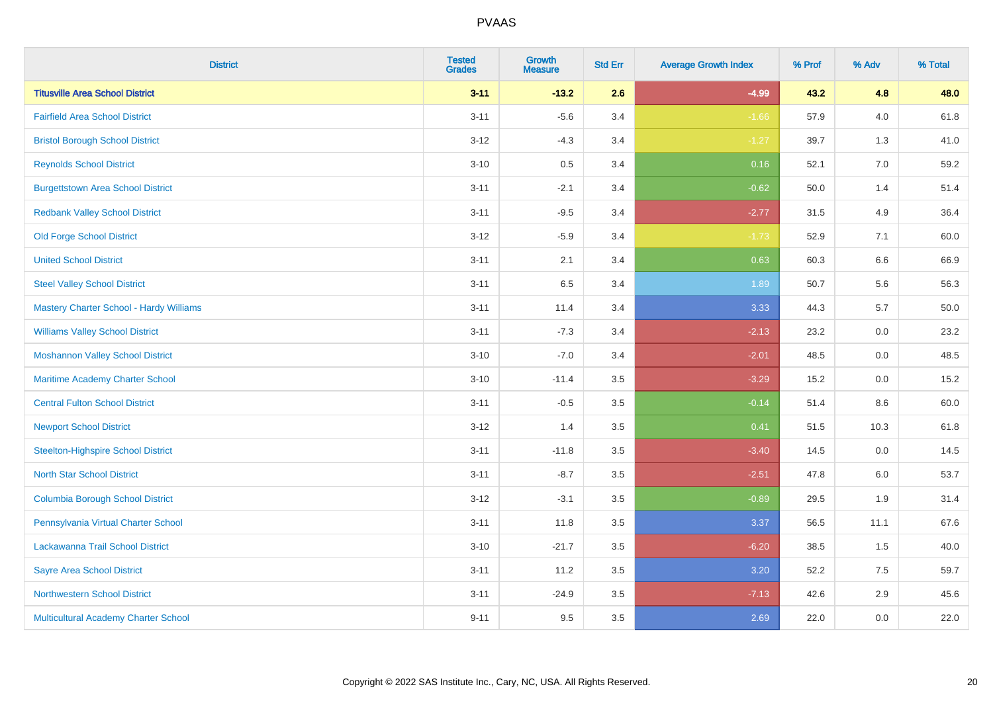| <b>District</b>                                | <b>Tested</b><br><b>Grades</b> | <b>Growth</b><br><b>Measure</b> | <b>Std Err</b> | <b>Average Growth Index</b> | % Prof | % Adv   | % Total |
|------------------------------------------------|--------------------------------|---------------------------------|----------------|-----------------------------|--------|---------|---------|
| <b>Titusville Area School District</b>         | $3 - 11$                       | $-13.2$                         | 2.6            | $-4.99$                     | 43.2   | 4.8     | 48.0    |
| <b>Fairfield Area School District</b>          | $3 - 11$                       | $-5.6$                          | 3.4            | $-1.66$                     | 57.9   | 4.0     | 61.8    |
| <b>Bristol Borough School District</b>         | $3 - 12$                       | $-4.3$                          | 3.4            | $-1.27$                     | 39.7   | 1.3     | 41.0    |
| <b>Reynolds School District</b>                | $3 - 10$                       | 0.5                             | 3.4            | 0.16                        | 52.1   | $7.0\,$ | 59.2    |
| <b>Burgettstown Area School District</b>       | $3 - 11$                       | $-2.1$                          | 3.4            | $-0.62$                     | 50.0   | 1.4     | 51.4    |
| <b>Redbank Valley School District</b>          | $3 - 11$                       | $-9.5$                          | 3.4            | $-2.77$                     | 31.5   | 4.9     | 36.4    |
| <b>Old Forge School District</b>               | $3 - 12$                       | $-5.9$                          | 3.4            | $-1.73$                     | 52.9   | 7.1     | 60.0    |
| <b>United School District</b>                  | $3 - 11$                       | 2.1                             | 3.4            | 0.63                        | 60.3   | 6.6     | 66.9    |
| <b>Steel Valley School District</b>            | $3 - 11$                       | 6.5                             | 3.4            | 1.89                        | 50.7   | 5.6     | 56.3    |
| <b>Mastery Charter School - Hardy Williams</b> | $3 - 11$                       | 11.4                            | 3.4            | 3.33                        | 44.3   | 5.7     | 50.0    |
| <b>Williams Valley School District</b>         | $3 - 11$                       | $-7.3$                          | 3.4            | $-2.13$                     | 23.2   | 0.0     | 23.2    |
| <b>Moshannon Valley School District</b>        | $3 - 10$                       | $-7.0$                          | 3.4            | $-2.01$                     | 48.5   | 0.0     | 48.5    |
| Maritime Academy Charter School                | $3 - 10$                       | $-11.4$                         | 3.5            | $-3.29$                     | 15.2   | $0.0\,$ | 15.2    |
| <b>Central Fulton School District</b>          | $3 - 11$                       | $-0.5$                          | 3.5            | $-0.14$                     | 51.4   | 8.6     | 60.0    |
| <b>Newport School District</b>                 | $3 - 12$                       | 1.4                             | 3.5            | 0.41                        | 51.5   | 10.3    | 61.8    |
| <b>Steelton-Highspire School District</b>      | $3 - 11$                       | $-11.8$                         | 3.5            | $-3.40$                     | 14.5   | 0.0     | 14.5    |
| <b>North Star School District</b>              | $3 - 11$                       | $-8.7$                          | 3.5            | $-2.51$                     | 47.8   | 6.0     | 53.7    |
| <b>Columbia Borough School District</b>        | $3 - 12$                       | $-3.1$                          | 3.5            | $-0.89$                     | 29.5   | 1.9     | 31.4    |
| Pennsylvania Virtual Charter School            | $3 - 11$                       | 11.8                            | 3.5            | 3.37                        | 56.5   | 11.1    | 67.6    |
| Lackawanna Trail School District               | $3 - 10$                       | $-21.7$                         | 3.5            | $-6.20$                     | 38.5   | 1.5     | 40.0    |
| <b>Sayre Area School District</b>              | $3 - 11$                       | 11.2                            | 3.5            | 3.20                        | 52.2   | 7.5     | 59.7    |
| <b>Northwestern School District</b>            | $3 - 11$                       | $-24.9$                         | 3.5            | $-7.13$                     | 42.6   | 2.9     | 45.6    |
| Multicultural Academy Charter School           | $9 - 11$                       | 9.5                             | 3.5            | 2.69                        | 22.0   | 0.0     | 22.0    |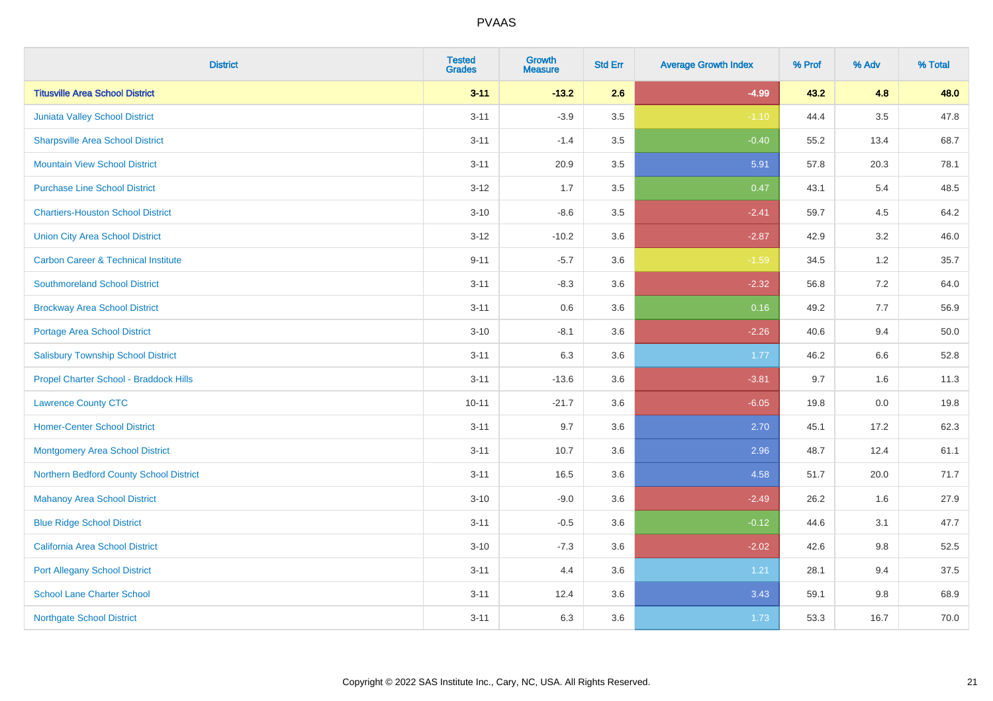| <b>District</b>                                | <b>Tested</b><br><b>Grades</b> | <b>Growth</b><br><b>Measure</b> | <b>Std Err</b> | <b>Average Growth Index</b> | % Prof | % Adv   | % Total |
|------------------------------------------------|--------------------------------|---------------------------------|----------------|-----------------------------|--------|---------|---------|
| <b>Titusville Area School District</b>         | $3 - 11$                       | $-13.2$                         | 2.6            | $-4.99$                     | 43.2   | 4.8     | 48.0    |
| Juniata Valley School District                 | $3 - 11$                       | $-3.9$                          | 3.5            | $-1.10$                     | 44.4   | $3.5\,$ | 47.8    |
| <b>Sharpsville Area School District</b>        | $3 - 11$                       | $-1.4$                          | 3.5            | $-0.40$                     | 55.2   | 13.4    | 68.7    |
| <b>Mountain View School District</b>           | $3 - 11$                       | 20.9                            | 3.5            | 5.91                        | 57.8   | 20.3    | 78.1    |
| <b>Purchase Line School District</b>           | $3 - 12$                       | 1.7                             | 3.5            | 0.47                        | 43.1   | 5.4     | 48.5    |
| <b>Chartiers-Houston School District</b>       | $3 - 10$                       | $-8.6$                          | 3.5            | $-2.41$                     | 59.7   | 4.5     | 64.2    |
| <b>Union City Area School District</b>         | $3 - 12$                       | $-10.2$                         | 3.6            | $-2.87$                     | 42.9   | 3.2     | 46.0    |
| <b>Carbon Career &amp; Technical Institute</b> | $9 - 11$                       | $-5.7$                          | 3.6            | $-1.59$                     | 34.5   | 1.2     | 35.7    |
| <b>Southmoreland School District</b>           | $3 - 11$                       | $-8.3$                          | 3.6            | $-2.32$                     | 56.8   | $7.2\,$ | 64.0    |
| <b>Brockway Area School District</b>           | $3 - 11$                       | 0.6                             | 3.6            | 0.16                        | 49.2   | 7.7     | 56.9    |
| <b>Portage Area School District</b>            | $3 - 10$                       | $-8.1$                          | 3.6            | $-2.26$                     | 40.6   | 9.4     | 50.0    |
| <b>Salisbury Township School District</b>      | $3 - 11$                       | 6.3                             | 3.6            | 1.77                        | 46.2   | 6.6     | 52.8    |
| Propel Charter School - Braddock Hills         | $3 - 11$                       | $-13.6$                         | 3.6            | $-3.81$                     | 9.7    | 1.6     | 11.3    |
| <b>Lawrence County CTC</b>                     | $10 - 11$                      | $-21.7$                         | 3.6            | $-6.05$                     | 19.8   | $0.0\,$ | 19.8    |
| <b>Homer-Center School District</b>            | $3 - 11$                       | 9.7                             | 3.6            | 2.70                        | 45.1   | 17.2    | 62.3    |
| Montgomery Area School District                | $3 - 11$                       | 10.7                            | 3.6            | 2.96                        | 48.7   | 12.4    | 61.1    |
| Northern Bedford County School District        | $3 - 11$                       | 16.5                            | 3.6            | 4.58                        | 51.7   | 20.0    | 71.7    |
| <b>Mahanoy Area School District</b>            | $3 - 10$                       | $-9.0$                          | 3.6            | $-2.49$                     | 26.2   | 1.6     | 27.9    |
| <b>Blue Ridge School District</b>              | $3 - 11$                       | $-0.5$                          | 3.6            | $-0.12$                     | 44.6   | 3.1     | 47.7    |
| California Area School District                | $3 - 10$                       | $-7.3$                          | 3.6            | $-2.02$                     | 42.6   | 9.8     | 52.5    |
| <b>Port Allegany School District</b>           | $3 - 11$                       | 4.4                             | 3.6            | 1.21                        | 28.1   | 9.4     | 37.5    |
| <b>School Lane Charter School</b>              | $3 - 11$                       | 12.4                            | 3.6            | 3.43                        | 59.1   | 9.8     | 68.9    |
| <b>Northgate School District</b>               | $3 - 11$                       | 6.3                             | 3.6            | 1.73                        | 53.3   | 16.7    | 70.0    |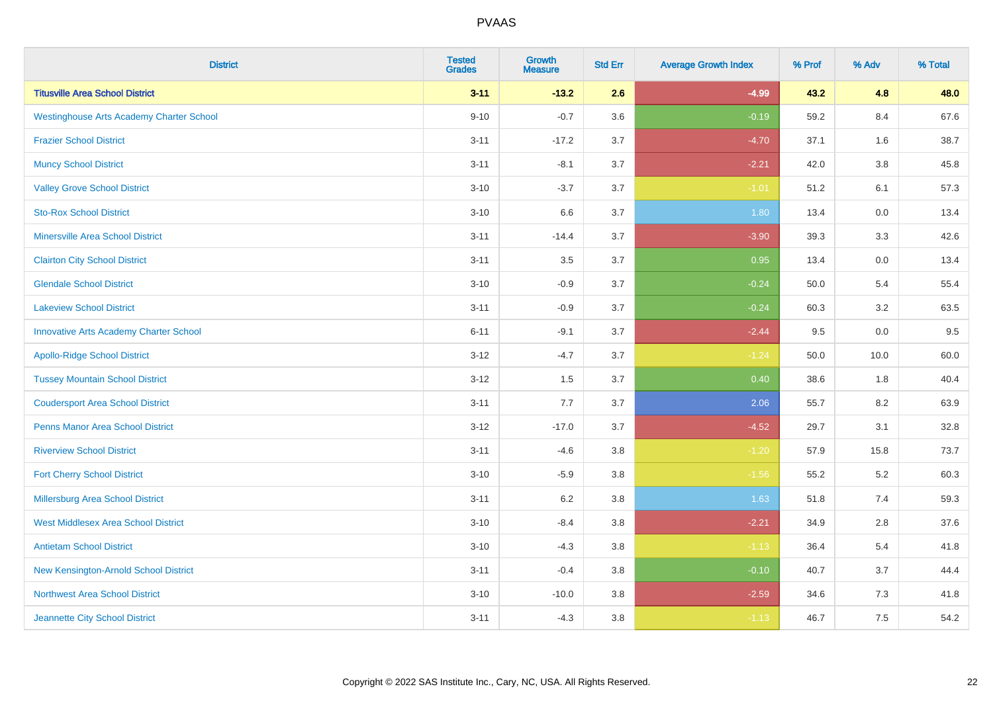| <b>District</b>                                 | <b>Tested</b><br><b>Grades</b> | <b>Growth</b><br><b>Measure</b> | <b>Std Err</b> | <b>Average Growth Index</b> | % Prof | % Adv   | % Total |
|-------------------------------------------------|--------------------------------|---------------------------------|----------------|-----------------------------|--------|---------|---------|
| <b>Titusville Area School District</b>          | $3 - 11$                       | $-13.2$                         | 2.6            | $-4.99$                     | 43.2   | 4.8     | 48.0    |
| <b>Westinghouse Arts Academy Charter School</b> | $9 - 10$                       | $-0.7$                          | 3.6            | $-0.19$                     | 59.2   | 8.4     | 67.6    |
| <b>Frazier School District</b>                  | $3 - 11$                       | $-17.2$                         | 3.7            | $-4.70$                     | 37.1   | 1.6     | 38.7    |
| <b>Muncy School District</b>                    | $3 - 11$                       | $-8.1$                          | 3.7            | $-2.21$                     | 42.0   | $3.8\,$ | 45.8    |
| <b>Valley Grove School District</b>             | $3 - 10$                       | $-3.7$                          | 3.7            | $-1.01$                     | 51.2   | 6.1     | 57.3    |
| <b>Sto-Rox School District</b>                  | $3 - 10$                       | 6.6                             | 3.7            | 1.80                        | 13.4   | 0.0     | 13.4    |
| Minersville Area School District                | $3 - 11$                       | $-14.4$                         | 3.7            | $-3.90$                     | 39.3   | 3.3     | 42.6    |
| <b>Clairton City School District</b>            | $3 - 11$                       | 3.5                             | 3.7            | 0.95                        | 13.4   | 0.0     | 13.4    |
| <b>Glendale School District</b>                 | $3 - 10$                       | $-0.9$                          | 3.7            | $-0.24$                     | 50.0   | 5.4     | 55.4    |
| <b>Lakeview School District</b>                 | $3 - 11$                       | $-0.9$                          | 3.7            | $-0.24$                     | 60.3   | 3.2     | 63.5    |
| <b>Innovative Arts Academy Charter School</b>   | $6 - 11$                       | $-9.1$                          | 3.7            | $-2.44$                     | 9.5    | 0.0     | 9.5     |
| <b>Apollo-Ridge School District</b>             | $3 - 12$                       | $-4.7$                          | 3.7            | $-1.24$                     | 50.0   | 10.0    | 60.0    |
| <b>Tussey Mountain School District</b>          | $3 - 12$                       | 1.5                             | 3.7            | 0.40                        | 38.6   | $1.8$   | 40.4    |
| <b>Coudersport Area School District</b>         | $3 - 11$                       | 7.7                             | 3.7            | 2.06                        | 55.7   | 8.2     | 63.9    |
| <b>Penns Manor Area School District</b>         | $3 - 12$                       | $-17.0$                         | 3.7            | $-4.52$                     | 29.7   | 3.1     | 32.8    |
| <b>Riverview School District</b>                | $3 - 11$                       | $-4.6$                          | 3.8            | $-1.20$                     | 57.9   | 15.8    | 73.7    |
| <b>Fort Cherry School District</b>              | $3 - 10$                       | $-5.9$                          | 3.8            | $-1.56$                     | 55.2   | $5.2\,$ | 60.3    |
| <b>Millersburg Area School District</b>         | $3 - 11$                       | 6.2                             | 3.8            | 1.63                        | 51.8   | 7.4     | 59.3    |
| <b>West Middlesex Area School District</b>      | $3 - 10$                       | $-8.4$                          | 3.8            | $-2.21$                     | 34.9   | 2.8     | 37.6    |
| <b>Antietam School District</b>                 | $3 - 10$                       | $-4.3$                          | 3.8            | $-1.13$                     | 36.4   | 5.4     | 41.8    |
| New Kensington-Arnold School District           | $3 - 11$                       | $-0.4$                          | 3.8            | $-0.10$                     | 40.7   | 3.7     | 44.4    |
| <b>Northwest Area School District</b>           | $3 - 10$                       | $-10.0$                         | 3.8            | $-2.59$                     | 34.6   | 7.3     | 41.8    |
| Jeannette City School District                  | $3 - 11$                       | $-4.3$                          | 3.8            | $-1.13$                     | 46.7   | 7.5     | 54.2    |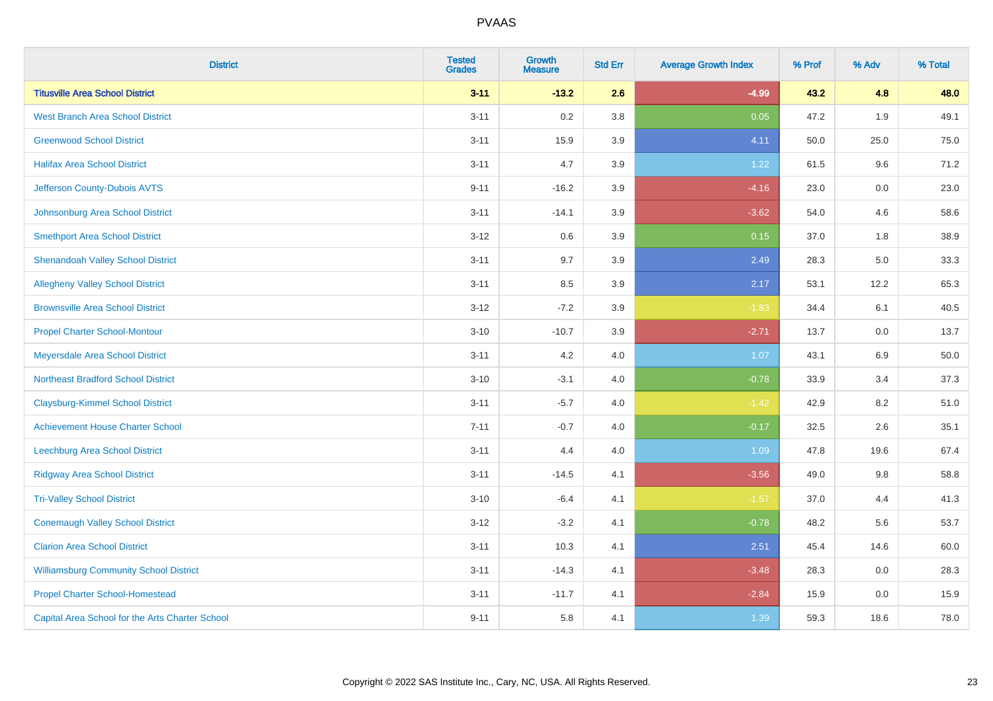| <b>District</b>                                 | <b>Tested</b><br><b>Grades</b> | <b>Growth</b><br><b>Measure</b> | <b>Std Err</b> | <b>Average Growth Index</b> | % Prof | % Adv | % Total |
|-------------------------------------------------|--------------------------------|---------------------------------|----------------|-----------------------------|--------|-------|---------|
| <b>Titusville Area School District</b>          | $3 - 11$                       | $-13.2$                         | 2.6            | $-4.99$                     | 43.2   | 4.8   | 48.0    |
| <b>West Branch Area School District</b>         | $3 - 11$                       | 0.2                             | 3.8            | 0.05                        | 47.2   | 1.9   | 49.1    |
| <b>Greenwood School District</b>                | $3 - 11$                       | 15.9                            | 3.9            | 4.11                        | 50.0   | 25.0  | 75.0    |
| <b>Halifax Area School District</b>             | $3 - 11$                       | 4.7                             | 3.9            | 1.22                        | 61.5   | 9.6   | 71.2    |
| Jefferson County-Dubois AVTS                    | $9 - 11$                       | $-16.2$                         | 3.9            | $-4.16$                     | 23.0   | 0.0   | 23.0    |
| Johnsonburg Area School District                | $3 - 11$                       | $-14.1$                         | 3.9            | $-3.62$                     | 54.0   | 4.6   | 58.6    |
| <b>Smethport Area School District</b>           | $3 - 12$                       | 0.6                             | 3.9            | 0.15                        | 37.0   | 1.8   | 38.9    |
| <b>Shenandoah Valley School District</b>        | $3 - 11$                       | 9.7                             | 3.9            | 2.49                        | 28.3   | 5.0   | 33.3    |
| <b>Allegheny Valley School District</b>         | $3 - 11$                       | 8.5                             | 3.9            | 2.17                        | 53.1   | 12.2  | 65.3    |
| <b>Brownsville Area School District</b>         | $3 - 12$                       | $-7.2$                          | 3.9            | $-1.83$                     | 34.4   | 6.1   | 40.5    |
| <b>Propel Charter School-Montour</b>            | $3 - 10$                       | $-10.7$                         | 3.9            | $-2.71$                     | 13.7   | 0.0   | 13.7    |
| Meyersdale Area School District                 | $3 - 11$                       | 4.2                             | 4.0            | 1.07                        | 43.1   | 6.9   | 50.0    |
| <b>Northeast Bradford School District</b>       | $3 - 10$                       | $-3.1$                          | 4.0            | $-0.78$                     | 33.9   | 3.4   | 37.3    |
| <b>Claysburg-Kimmel School District</b>         | $3 - 11$                       | $-5.7$                          | 4.0            | $-1.42$                     | 42.9   | 8.2   | 51.0    |
| <b>Achievement House Charter School</b>         | $7 - 11$                       | $-0.7$                          | 4.0            | $-0.17$                     | 32.5   | 2.6   | 35.1    |
| Leechburg Area School District                  | $3 - 11$                       | 4.4                             | 4.0            | 1.09                        | 47.8   | 19.6  | 67.4    |
| <b>Ridgway Area School District</b>             | $3 - 11$                       | $-14.5$                         | 4.1            | $-3.56$                     | 49.0   | 9.8   | 58.8    |
| <b>Tri-Valley School District</b>               | $3 - 10$                       | $-6.4$                          | 4.1            | $-1.57$                     | 37.0   | 4.4   | 41.3    |
| <b>Conemaugh Valley School District</b>         | $3 - 12$                       | $-3.2$                          | 4.1            | $-0.78$                     | 48.2   | 5.6   | 53.7    |
| <b>Clarion Area School District</b>             | $3 - 11$                       | 10.3                            | 4.1            | 2.51                        | 45.4   | 14.6  | 60.0    |
| <b>Williamsburg Community School District</b>   | $3 - 11$                       | $-14.3$                         | 4.1            | $-3.48$                     | 28.3   | 0.0   | 28.3    |
| <b>Propel Charter School-Homestead</b>          | $3 - 11$                       | $-11.7$                         | 4.1            | $-2.84$                     | 15.9   | 0.0   | 15.9    |
| Capital Area School for the Arts Charter School | $9 - 11$                       | 5.8                             | 4.1            | 1.39                        | 59.3   | 18.6  | 78.0    |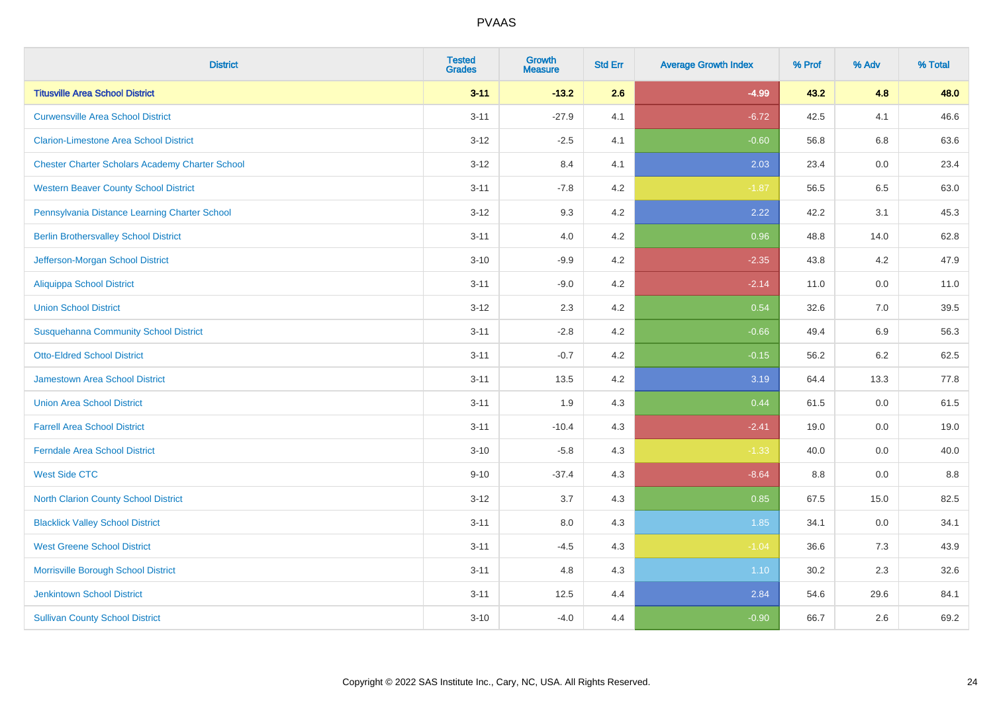| <b>District</b>                                        | <b>Tested</b><br><b>Grades</b> | <b>Growth</b><br><b>Measure</b> | <b>Std Err</b> | <b>Average Growth Index</b> | % Prof | % Adv   | % Total |
|--------------------------------------------------------|--------------------------------|---------------------------------|----------------|-----------------------------|--------|---------|---------|
| <b>Titusville Area School District</b>                 | $3 - 11$                       | $-13.2$                         | 2.6            | $-4.99$                     | 43.2   | 4.8     | 48.0    |
| <b>Curwensville Area School District</b>               | $3 - 11$                       | $-27.9$                         | 4.1            | $-6.72$                     | 42.5   | 4.1     | 46.6    |
| <b>Clarion-Limestone Area School District</b>          | $3 - 12$                       | $-2.5$                          | 4.1            | $-0.60$                     | 56.8   | 6.8     | 63.6    |
| <b>Chester Charter Scholars Academy Charter School</b> | $3 - 12$                       | 8.4                             | 4.1            | 2.03                        | 23.4   | 0.0     | 23.4    |
| <b>Western Beaver County School District</b>           | $3 - 11$                       | $-7.8$                          | 4.2            | $-1.87$                     | 56.5   | 6.5     | 63.0    |
| Pennsylvania Distance Learning Charter School          | $3 - 12$                       | 9.3                             | 4.2            | 2.22                        | 42.2   | 3.1     | 45.3    |
| <b>Berlin Brothersvalley School District</b>           | $3 - 11$                       | 4.0                             | 4.2            | 0.96                        | 48.8   | 14.0    | 62.8    |
| Jefferson-Morgan School District                       | $3 - 10$                       | $-9.9$                          | 4.2            | $-2.35$                     | 43.8   | 4.2     | 47.9    |
| <b>Aliquippa School District</b>                       | $3 - 11$                       | $-9.0$                          | 4.2            | $-2.14$                     | 11.0   | 0.0     | 11.0    |
| <b>Union School District</b>                           | $3 - 12$                       | 2.3                             | 4.2            | 0.54                        | 32.6   | 7.0     | 39.5    |
| <b>Susquehanna Community School District</b>           | $3 - 11$                       | $-2.8$                          | 4.2            | $-0.66$                     | 49.4   | 6.9     | 56.3    |
| <b>Otto-Eldred School District</b>                     | $3 - 11$                       | $-0.7$                          | 4.2            | $-0.15$                     | 56.2   | $6.2\,$ | 62.5    |
| <b>Jamestown Area School District</b>                  | $3 - 11$                       | 13.5                            | 4.2            | 3.19                        | 64.4   | 13.3    | 77.8    |
| <b>Union Area School District</b>                      | $3 - 11$                       | 1.9                             | 4.3            | 0.44                        | 61.5   | 0.0     | 61.5    |
| <b>Farrell Area School District</b>                    | $3 - 11$                       | $-10.4$                         | 4.3            | $-2.41$                     | 19.0   | 0.0     | 19.0    |
| <b>Ferndale Area School District</b>                   | $3 - 10$                       | $-5.8$                          | 4.3            | $-1.33$                     | 40.0   | $0.0\,$ | 40.0    |
| <b>West Side CTC</b>                                   | $9 - 10$                       | $-37.4$                         | 4.3            | $-8.64$                     | 8.8    | 0.0     | $8.8\,$ |
| <b>North Clarion County School District</b>            | $3 - 12$                       | 3.7                             | 4.3            | 0.85                        | 67.5   | 15.0    | 82.5    |
| <b>Blacklick Valley School District</b>                | $3 - 11$                       | 8.0                             | 4.3            | 1.85                        | 34.1   | 0.0     | 34.1    |
| <b>West Greene School District</b>                     | $3 - 11$                       | $-4.5$                          | 4.3            | $-1.04$                     | 36.6   | 7.3     | 43.9    |
| Morrisville Borough School District                    | $3 - 11$                       | 4.8                             | 4.3            | 1.10                        | 30.2   | 2.3     | 32.6    |
| <b>Jenkintown School District</b>                      | $3 - 11$                       | 12.5                            | 4.4            | 2.84                        | 54.6   | 29.6    | 84.1    |
| <b>Sullivan County School District</b>                 | $3 - 10$                       | $-4.0$                          | 4.4            | $-0.90$                     | 66.7   | 2.6     | 69.2    |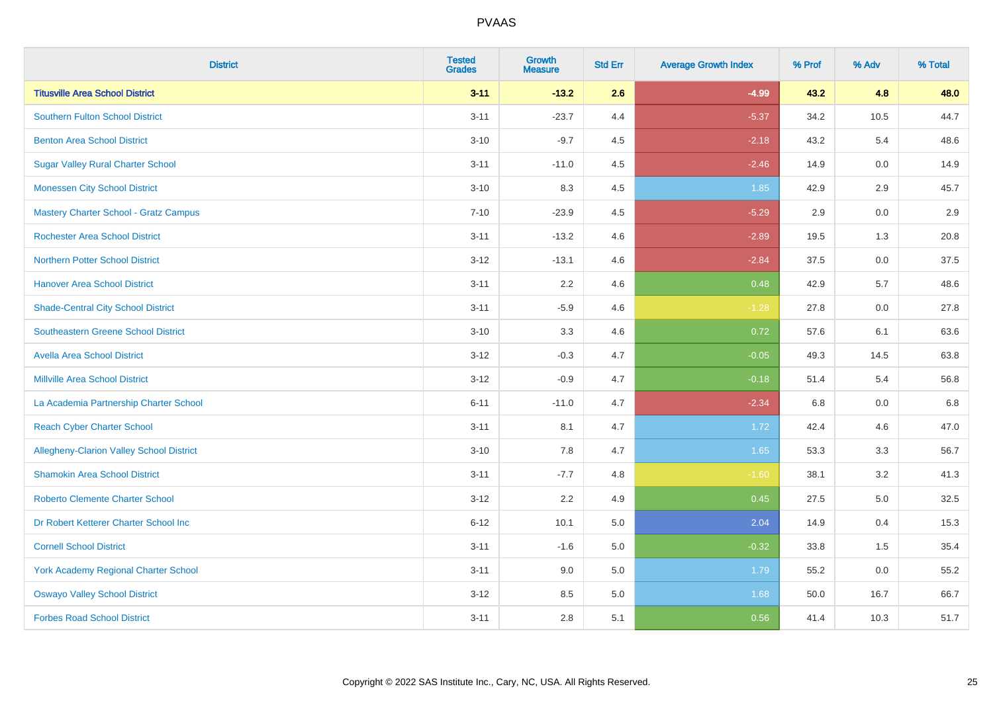| <b>District</b>                                 | <b>Tested</b><br><b>Grades</b> | <b>Growth</b><br><b>Measure</b> | <b>Std Err</b> | <b>Average Growth Index</b> | % Prof | % Adv   | % Total |
|-------------------------------------------------|--------------------------------|---------------------------------|----------------|-----------------------------|--------|---------|---------|
| <b>Titusville Area School District</b>          | $3 - 11$                       | $-13.2$                         | 2.6            | $-4.99$                     | 43.2   | 4.8     | 48.0    |
| <b>Southern Fulton School District</b>          | $3 - 11$                       | $-23.7$                         | 4.4            | $-5.37$                     | 34.2   | 10.5    | 44.7    |
| <b>Benton Area School District</b>              | $3 - 10$                       | $-9.7$                          | 4.5            | $-2.18$                     | 43.2   | 5.4     | 48.6    |
| <b>Sugar Valley Rural Charter School</b>        | $3 - 11$                       | $-11.0$                         | 4.5            | $-2.46$                     | 14.9   | $0.0\,$ | 14.9    |
| <b>Monessen City School District</b>            | $3 - 10$                       | 8.3                             | 4.5            | 1.85                        | 42.9   | 2.9     | 45.7    |
| <b>Mastery Charter School - Gratz Campus</b>    | $7 - 10$                       | $-23.9$                         | 4.5            | $-5.29$                     | 2.9    | 0.0     | 2.9     |
| <b>Rochester Area School District</b>           | $3 - 11$                       | $-13.2$                         | 4.6            | $-2.89$                     | 19.5   | 1.3     | 20.8    |
| <b>Northern Potter School District</b>          | $3 - 12$                       | $-13.1$                         | 4.6            | $-2.84$                     | 37.5   | 0.0     | 37.5    |
| <b>Hanover Area School District</b>             | $3 - 11$                       | 2.2                             | 4.6            | 0.48                        | 42.9   | 5.7     | 48.6    |
| <b>Shade-Central City School District</b>       | $3 - 11$                       | $-5.9$                          | 4.6            | $-1.28$                     | 27.8   | 0.0     | 27.8    |
| <b>Southeastern Greene School District</b>      | $3 - 10$                       | 3.3                             | 4.6            | 0.72                        | 57.6   | 6.1     | 63.6    |
| <b>Avella Area School District</b>              | $3 - 12$                       | $-0.3$                          | 4.7            | $-0.05$                     | 49.3   | 14.5    | 63.8    |
| <b>Millville Area School District</b>           | $3 - 12$                       | $-0.9$                          | 4.7            | $-0.18$                     | 51.4   | 5.4     | 56.8    |
| La Academia Partnership Charter School          | $6 - 11$                       | $-11.0$                         | 4.7            | $-2.34$                     | 6.8    | 0.0     | 6.8     |
| <b>Reach Cyber Charter School</b>               | $3 - 11$                       | 8.1                             | 4.7            | 1.72                        | 42.4   | 4.6     | 47.0    |
| <b>Allegheny-Clarion Valley School District</b> | $3 - 10$                       | 7.8                             | 4.7            | 1.65                        | 53.3   | 3.3     | 56.7    |
| <b>Shamokin Area School District</b>            | $3 - 11$                       | $-7.7$                          | 4.8            | $-1.60$                     | 38.1   | 3.2     | 41.3    |
| <b>Roberto Clemente Charter School</b>          | $3 - 12$                       | 2.2                             | 4.9            | 0.45                        | 27.5   | 5.0     | 32.5    |
| Dr Robert Ketterer Charter School Inc           | $6 - 12$                       | 10.1                            | 5.0            | 2.04                        | 14.9   | 0.4     | 15.3    |
| <b>Cornell School District</b>                  | $3 - 11$                       | $-1.6$                          | 5.0            | $-0.32$                     | 33.8   | 1.5     | 35.4    |
| York Academy Regional Charter School            | $3 - 11$                       | 9.0                             | 5.0            | 1.79                        | 55.2   | 0.0     | 55.2    |
| <b>Oswayo Valley School District</b>            | $3 - 12$                       | 8.5                             | 5.0            | 1.68                        | 50.0   | 16.7    | 66.7    |
| <b>Forbes Road School District</b>              | $3 - 11$                       | 2.8                             | 5.1            | 0.56                        | 41.4   | 10.3    | 51.7    |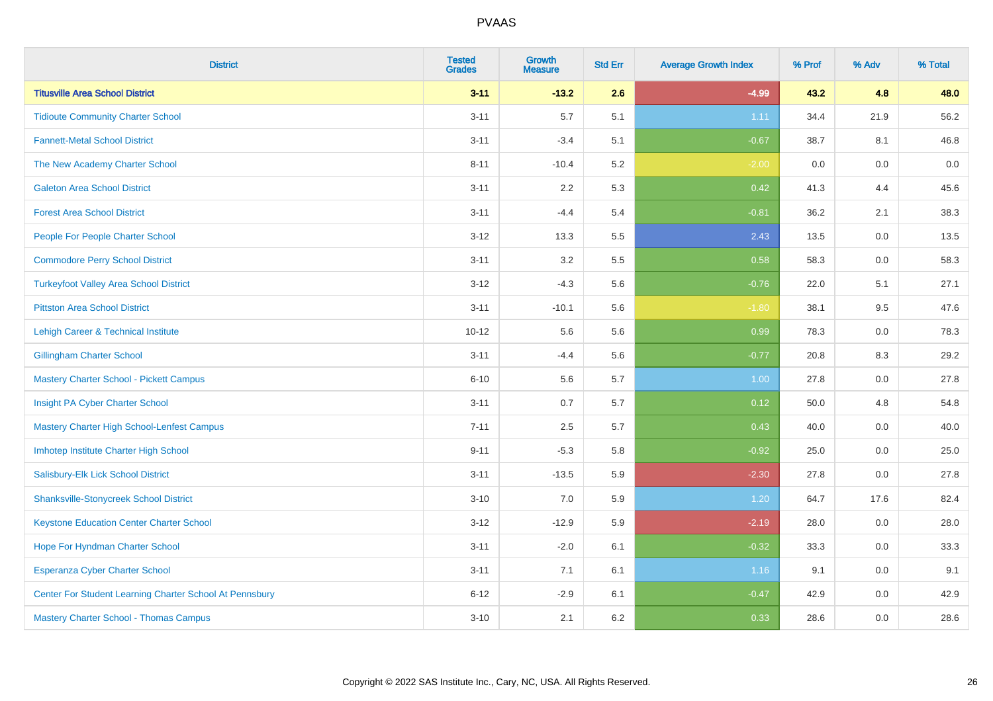| <b>District</b>                                         | <b>Tested</b><br><b>Grades</b> | <b>Growth</b><br><b>Measure</b> | <b>Std Err</b> | <b>Average Growth Index</b> | % Prof | % Adv   | % Total |
|---------------------------------------------------------|--------------------------------|---------------------------------|----------------|-----------------------------|--------|---------|---------|
| <b>Titusville Area School District</b>                  | $3 - 11$                       | $-13.2$                         | 2.6            | $-4.99$                     | 43.2   | 4.8     | 48.0    |
| <b>Tidioute Community Charter School</b>                | $3 - 11$                       | 5.7                             | 5.1            | 1.11                        | 34.4   | 21.9    | 56.2    |
| <b>Fannett-Metal School District</b>                    | $3 - 11$                       | $-3.4$                          | 5.1            | $-0.67$                     | 38.7   | 8.1     | 46.8    |
| The New Academy Charter School                          | $8 - 11$                       | $-10.4$                         | 5.2            | $-2.00$                     | 0.0    | 0.0     | $0.0\,$ |
| <b>Galeton Area School District</b>                     | $3 - 11$                       | 2.2                             | 5.3            | 0.42                        | 41.3   | 4.4     | 45.6    |
| <b>Forest Area School District</b>                      | $3 - 11$                       | $-4.4$                          | 5.4            | $-0.81$                     | 36.2   | 2.1     | 38.3    |
| People For People Charter School                        | $3 - 12$                       | 13.3                            | 5.5            | 2.43                        | 13.5   | $0.0\,$ | 13.5    |
| <b>Commodore Perry School District</b>                  | $3 - 11$                       | 3.2                             | 5.5            | 0.58                        | 58.3   | 0.0     | 58.3    |
| <b>Turkeyfoot Valley Area School District</b>           | $3 - 12$                       | $-4.3$                          | 5.6            | $-0.76$                     | 22.0   | 5.1     | 27.1    |
| <b>Pittston Area School District</b>                    | $3 - 11$                       | $-10.1$                         | 5.6            | $-1.80$                     | 38.1   | $9.5\,$ | 47.6    |
| Lehigh Career & Technical Institute                     | $10 - 12$                      | 5.6                             | 5.6            | 0.99                        | 78.3   | 0.0     | 78.3    |
| <b>Gillingham Charter School</b>                        | $3 - 11$                       | $-4.4$                          | 5.6            | $-0.77$                     | 20.8   | 8.3     | 29.2    |
| <b>Mastery Charter School - Pickett Campus</b>          | $6 - 10$                       | 5.6                             | 5.7            | 1.00                        | 27.8   | 0.0     | 27.8    |
| Insight PA Cyber Charter School                         | $3 - 11$                       | 0.7                             | 5.7            | 0.12                        | 50.0   | 4.8     | 54.8    |
| Mastery Charter High School-Lenfest Campus              | $7 - 11$                       | 2.5                             | 5.7            | 0.43                        | 40.0   | 0.0     | 40.0    |
| Imhotep Institute Charter High School                   | $9 - 11$                       | $-5.3$                          | 5.8            | $-0.92$                     | 25.0   | 0.0     | 25.0    |
| Salisbury-Elk Lick School District                      | $3 - 11$                       | $-13.5$                         | 5.9            | $-2.30$                     | 27.8   | 0.0     | 27.8    |
| <b>Shanksville-Stonycreek School District</b>           | $3 - 10$                       | 7.0                             | 5.9            | 1.20                        | 64.7   | 17.6    | 82.4    |
| <b>Keystone Education Center Charter School</b>         | $3 - 12$                       | $-12.9$                         | 5.9            | $-2.19$                     | 28.0   | 0.0     | 28.0    |
| Hope For Hyndman Charter School                         | $3 - 11$                       | $-2.0$                          | 6.1            | $-0.32$                     | 33.3   | 0.0     | 33.3    |
| <b>Esperanza Cyber Charter School</b>                   | $3 - 11$                       | 7.1                             | 6.1            | 1.16                        | 9.1    | 0.0     | 9.1     |
| Center For Student Learning Charter School At Pennsbury | $6 - 12$                       | $-2.9$                          | 6.1            | $-0.47$                     | 42.9   | 0.0     | 42.9    |
| <b>Mastery Charter School - Thomas Campus</b>           | $3 - 10$                       | 2.1                             | 6.2            | 0.33                        | 28.6   | 0.0     | 28.6    |